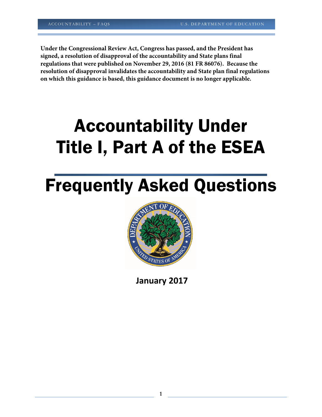**Under the Congressional Review Act, Congress has passed, and the President has signed, a resolution of disapproval of the accountability and State plans final regulations that were published on November 29, 2016 (81 FR 86076). Because the resolution of disapproval invalidates the accountability and State plan final regulations on which this guidance is based, this guidance document is no longer applicable.**

# Accountability Under Title I, Part A of the ESEA

# Frequently Asked Questions



**January 2017**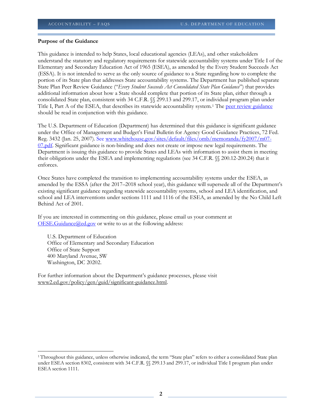#### **Purpose of the Guidance**

This guidance is intended to help States, local educational agencies (LEAs), and other stakeholders understand the statutory and regulatory requirements for statewide accountability systems under Title I of the Elementary and Secondary Education Act of 1965 (ESEA), as amended by the Every Student Succeeds Act (ESSA). It is not intended to serve as the only source of guidance to a State regarding how to complete the portion of its State plan that addresses State accountability systems. The Department has published separate State Plan Peer Review Guidance ("*Every Student Succeeds Act Consolidated State Plan Guidance*") that provides additional information about how a State should complete that portion of its State plan, either through a consolidated State plan, consistent with 34 C.F.R. §§ 299.13 and 299.17, or individual program plan under Title I, Part A of the ESEA, that describes its statewide accountability system.<sup>[1](#page-1-0)</sup> The [peer review guidance](http://www2.ed.gov/policy/elsec/leg/essa/essastateplanguidance.pdf) should be read in conjunction with this guidance.

The U.S. Department of Education (Department) has determined that this guidance is significant guidance under the Office of Management and Budget's Final Bulletin for Agency Good Guidance Practices, 72 Fed. Reg. 3432 (Jan. 25, 2007). Se[e www.whitehouse.gov/sites/default/files/omb/memoranda/fy2007/m07-](http://www.whitehouse.gov/sites/default/files/omb/memoranda/fy2007/m07-07.pdf) [07.pdf.](http://www.whitehouse.gov/sites/default/files/omb/memoranda/fy2007/m07-07.pdf) Significant guidance is non-binding and does not create or impose new legal requirements. The Department is issuing this guidance to provide States and LEAs with information to assist them in meeting their obligations under the ESEA and implementing regulations (see 34 C.F.R. §§ 200.12-200.24) that it enforces.

Once States have completed the transition to implementing accountability systems under the ESEA, as amended by the ESSA (after the 2017–2018 school year), this guidance will supersede all of the Department's existing significant guidance regarding statewide accountability systems, school and LEA identification, and school and LEA interventions under sections 1111 and 1116 of the ESEA, as amended by the No Child Left Behind Act of 2001.

If you are interested in commenting on this guidance, please email us your comment at  $OESE.Guidance@ed.gov$  or write to us at the following address:

U.S. Department of Education Office of Elementary and Secondary Education Office of State Support 400 Maryland Avenue, SW Washington, DC 20202.

 $\overline{\phantom{a}}$ 

For further information about the Department's guidance processes, please visit [www2.ed.gov/policy/gen/guid/significant-guidance.html.](http://www2.ed.gov/policy/gen/guid/significant-guidance.html)

<span id="page-1-0"></span><sup>1</sup> Throughout this guidance, unless otherwise indicated, the term "State plan" refers to either a consolidated State plan under ESEA section 8302, consistent with 34 C.F.R.  $\%$  299.13 and 299.17, or individual Title I program plan under ESEA section 1111.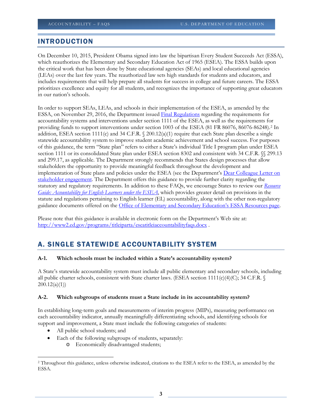# INTRODUCTION

On December 10, 2015, President Obama signed into law the bipartisan Every Student Succeeds Act (ESSA), which reauthorizes the Elementary and Secondary Education Act of 1965 (ESEA). The ESSA builds upon the critical work that has been done by State educational agencies (SEAs) and local educational agencies (LEAs) over the last few years. The reauthorized law sets high standards for students and educators, and includes requirements that will help prepare all students for success in college and future careers. The ESSA prioritizes excellence and equity for all students, and recognizes the importance of supporting great educators in our nation's schools.

In order to support SEAs, LEAs, and schools in their implementation of the ESEA, as amended by the ESSA, on November 29, 2016, the Department issued [Final Regulations](https://www.federalregister.gov/d/2016-27985) regarding the requirements for accountability systems and interventions under section 1111 of the ESEA, as well as the requirements for providing funds to support interventions under section 1003 of the ESEA (81 FR 86076, 86076-86248).[2](#page-2-0) In addition, ESEA section 1111(c) and 34 C.F.R.  $\Omega$  200.12(a)(1) require that each State plan describe a single statewide accountability system to improve student academic achievement and school success. For purposes of this guidance, the term "State plan" refers to either a State's individual Title I program plan under ESEA section 1111 or its consolidated State plan under ESEA section 8302 and consistent with 34 C.F.R. §§ 299.13 and 299.17, as applicable. The Department strongly recommends that States design processes that allow stakeholders the opportunity to provide meaningful feedback throughout the development and implementation of State plans and policies under the ESEA (see the Department's Dear Colleague Letter on [stakeholder engagement.](http://www2.ed.gov/policy/elsec/guid/secletter/160622.html) The Department offers this guidance to provide further clarity regarding the statutory and regulatory requirements. In addition to these FAQs, we encourage States to review our *[Resource](http://www2.ed.gov/programs/sfgp/eseatitleiiiresourceaccountelsguide.docx)  [Guide: Accountability for English Learners under the ESEA](http://www2.ed.gov/programs/sfgp/eseatitleiiiresourceaccountelsguide.docx)*, which provides greater detail on provisions in the statute and regulations pertaining to English learner (EL) accountability, along with the other non-regulatory guidance documents offered on the [Office of Elementary and Secondary Education's ESSA Resources](https://www2.ed.gov/policy/elsec/leg/essa/index.html) page.

Please note that this guidance is available in electronic form on the Department's Web site at: <http://www2.ed.gov/programs/titleiparta/eseatitleiaccountabilityfaqs.docx> .

# A. SINGLE STATEWIDE ACCOUNTABILITY SYSTEM

# **A-1. Which schools must be included within a State's accountability system?**

A State's statewide accountability system must include all public elementary and secondary schools, including all public charter schools, consistent with State charter laws. (ESEA section 1111(c)(4)(C); 34 C.F.R.  $\mathcal{S}$  $200.12(a)(1)$ 

# **A-2. Which subgroups of students must a State include in its accountability system?**

In establishing long-term goals and measurements of interim progress (MIPs), measuring performance on each accountability indicator, annually meaningfully differentiating schools, and identifying schools for support and improvement, a State must include the following categories of students:

All public school students; and

 $\overline{\phantom{a}}$ 

- Each of the following subgroups of students, separately:
	- o Economically disadvantaged students;

<span id="page-2-0"></span><sup>2</sup> Throughout this guidance, unless otherwise indicated, citations to the ESEA refer to the ESEA, as amended by the ESSA.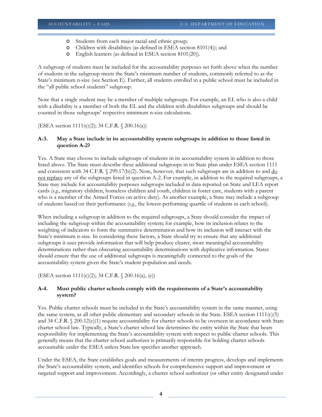- o Students from each major racial and ethnic group;
- o Children with disabilities (as defined in ESEA section 8101(4)); and
- o English learners (as defined in ESEA section 8101(20)).

A subgroup of students must be included for the accountability purposes set forth above when the number of students in the subgroup meets the State's minimum number of students, commonly referred to as the State's minimum n-size (see Section E). Further, all students enrolled in a public school must be included in the "all public school students" subgroup.

Note that a single student may be a member of multiple subgroups. For example, an EL who is also a child with a disability is a member of both the EL and the children with disabilities subgroups and should be counted in those subgroups' respective minimum n-size calculations.

(ESEA section 1111(c)(2); 34 C.F.R. § 200.16(a))

#### **A-3. May a State include in its accountability system subgroups in addition to those listed in question A-2?**

Yes. A State may choose to include subgroups of students in its accountability system in addition to those listed above. The State must describe these additional subgroups in its State plan under ESEA section 1111 and consistent with 34 C.F.R.  $\sqrt{(299.17(b)/2)}$ . Note, however, that such subgroups are in addition to and  $\underline{do}$ not replace any of the subgroups listed in question A-2. For example, in addition to the required subgroups, a State may include for accountability purposes subgroups included in data reported on State and LEA report cards (*e.g.*, migratory children, homeless children and youth, children in foster care, students with a parent who is a member of the Armed Forces on active duty). As another example, a State may include a subgroup of students based on their performance (*e.g.*, the lowest-performing quartile of students in each school).

When including a subgroup in addition to the required subgroups, a State should consider the impact of including the subgroup within the accountability system; for example, how its inclusion relates to the weighting of indicators to form the summative determination and how its inclusion will interact with the State's minimum n-size. In considering these factors, a State should try to ensure that any additional subgroups it uses provide information that will help produce clearer, more meaningful accountability determinations rather than obscuring accountability determinations with duplicative information. States should ensure that the use of additional subgroups is meaningfully connected to the goals of the accountability system given the State's student population and needs.

(ESEA section 1111(c)(2); 34 C.F.R. § 200.16(a), (e))

# **A-4. Must public charter schools comply with the requirements of a State's accountability system?**

Yes. Public charter schools must be included in the State's accountability system in the same manner, using the same system, as all other public elementary and secondary schools in the State. ESEA section 1111(c)(5) and 34 C.F.R. § 200.12(c)(1) require accountability for charter schools to be overseen in accordance with State charter school law. Typically, a State's charter school law determines the entity within the State that bears responsibility for implementing the State's accountability system with respect to public charter schools. This generally means that the charter school authorizer is primarily responsible for holding charter schools accountable under the ESEA unless State law specifies another approach.

Under the ESEA, the State establishes goals and measurements of interim progress, develops and implements the State's accountability system, and identifies schools for comprehensive support and improvement or targeted support and improvement. Accordingly, a charter school authorizer (or other entity designated under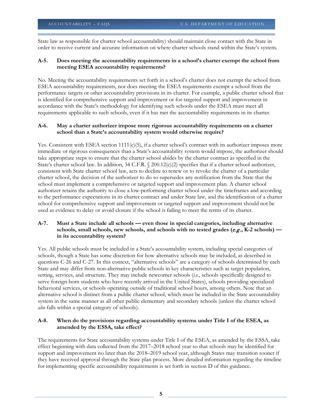State law as responsible for charter school accountability) should maintain close contact with the State in order to receive current and accurate information on where charter schools stand within the State's system.

# **A-5. Does meeting the accountability requirements in a school's charter exempt the school from meeting ESEA accountability requirements?**

No. Meeting the accountability requirements set forth in a school's charter does not exempt the school from ESEA accountability requirements, nor does meeting the ESEA requirements exempt a school from the performance targets or other accountability provisions in its charter. For example, a public charter school that is identified for comprehensive support and improvement or for targeted support and improvement in accordance with the State's methodology for identifying such schools under the ESEA must meet all requirements applicable to such schools, even if it has met the accountability requirements in its charter.

# **A-6. May a charter authorizer impose more rigorous accountability requirements on a charter school than a State's accountability system would otherwise require?**

Yes. Consistent with ESEA section 1111(c)(5), if a charter school's contract with its authorizer imposes more immediate or rigorous consequences than a State's accountability system would impose, the authorizer should take appropriate steps to ensure that the charter school abides by the charter contract as specified in the State's charter school law. In addition, 34 C.F.R. § 200.12(c)(2) specifies that if a charter school authorizer, consistent with State charter school law, acts to decline to renew or to revoke the charter of a particular charter school, the decision of the authorizer to do so supersedes any notification from the State that the school must implement a comprehensive or targeted support and improvement plan. A charter school authorizer retains the authority to close a low-performing charter school under the timeframes and according to the performance expectations in its charter contract and under State law, and the identification of a charter school for comprehensive support and improvement or targeted support and improvement should not be used as evidence to delay or avoid closure if the school is failing to meet the terms of its charter.

# **A-7. Must a State include all schools — even those in special categories, including alternative**  schools, small schools, new schools, and schools with no tested grades (*e.g.*, K-2 schools) **in its accountability system?**

Yes. All public schools must be included in a State's accountability system, including special categories of schools, though a State has some discretion for how alternative schools may be included, as described in questions C-26 and C-27. In this context, "alternative schools" are a category of schools determined by each State and may differ from non-alternative public schools in key characteristics such as target population, setting, services, and structure. They may include newcomer schools (*i.e.*, schools specifically designed to serve foreign-born students who have recently arrived in the United States), schools providing specialized behavioral services, or schools operating outside of traditional school hours, among others. Note that an alternative school is distinct from a public charter school, which must be included in the State accountability system in the same manner as all other public elementary and secondary schools (unless the charter school *also* falls within a special category of schools).

# **A-8. When do the provisions regarding accountability systems under Title I of the ESEA, as amended by the ESSA, take effect?**

The requirements for State accountability systems under Title I of the ESEA, as amended by the ESSA, take effect beginning with data collected from the 2017–2018 school year so that schools may be identified for support and improvement no later than the 2018–2019 school year, although States may transition sooner if they have received approval through the State plan process. More detailed information regarding the timeline for implementing specific accountability requirements is set forth in section D of this guidance.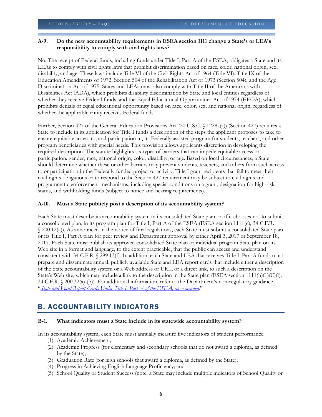# **A-9. Do the new accountability requirements in ESEA section 1111 change a State's or LEA's responsibility to comply with civil rights laws?**

No. The receipt of Federal funds, including funds under Title I, Part A of the ESEA, obligates a State and its LEAs to comply with civil rights laws that prohibit discrimination based on race, color, national origin, sex, disability, and age. These laws include Title VI of the Civil Rights Act of 1964 (Title VI), Title IX of the Education Amendments of 1972, Section 504 of the Rehabilitation Act of 1973 (Section 504), and the Age Discrimination Act of 1975. States and LEAs must also comply with Title II of the Americans with Disabilities Act (ADA), which prohibits disability discrimination by State and local entities regardless of whether they receive Federal funds, and the Equal Educational Opportunities Act of 1974 (EEOA), which prohibits denials of equal educational opportunity based on race, color, sex, and national origin, regardless of whether the applicable entity receives Federal funds.

Further, Section 427 of the General Education Provisions Act (20 U.S.C. § 1228a(a)) (Section 427) requires a State to include in its application for Title I funds a description of the steps the applicant proposes to take to ensure equitable access to, and participation in, its Federally assisted program for students, teachers, and other program beneficiaries with special needs. This provision allows applicants discretion in developing the required description. The statute highlights six types of barriers that can impede equitable access or participation: gender, race, national origin, color, disability, or age. Based on local circumstances, a State should determine whether these or other barriers may prevent students, teachers, and others from such access to or participation in the Federally funded project or activity. Title I grant recipients that fail to meet their civil rights obligations or to respond to the Section 427 requirement may be subject to civil rights and programmatic enforcement mechanisms, including special conditions on a grant, designation for high-risk status, and withholding funds (subject to notice and hearing requirements).

#### **A-10. Must a State publicly post a description of its accountability system?**

Each State must describe its accountability system in its consolidated State plan or, if it chooses not to submit a consolidated plan, in its program plan for Title I, Part A of the ESEA (ESEA section 1111(c); 34 C.F.R. § 200.12(a)). As announced in the notice of final regulations, each State must submit a consolidated State plan or its Title I, Part A plan for peer review and Department approval by either April 3, 2017 or September 18, 2017. Each State must publish its approved consolidated State plan or individual program State plan on its Web site in a format and language, to the extent practicable, that the public can access and understand consistent with 34 C.F.R. § 299.13(f). In addition, each State and LEA that receives Title I, Part A funds must prepare and disseminate annual, publicly available State and LEA report cards that include either a description of the State accountability system or a Web address or URL, or a direct link, to such a description on the State's Web site, which may include a link to the description in the State plan (ESEA section 1111(h)(1)(C)(i); 34 C.F.R. § 200.32(a)-(b)). For additional information, refer to the Department's non-regulatory guidance "*[State and Local Report Cards Under Title I, Part A of the ESEA, as Amended.](http://www2.ed.gov/policy/elsec/leg/essa/essastatereportcard.pdf)*"

# B. ACCOUNTABILITY INDICATORS

#### **B-1. What indicators must a State include in its statewide accountability system?**

In its accountability system, each State must annually measure five indicators of student performance:

- (1) Academic Achievement;
- (2) Academic Progress (for elementary and secondary schools that do not award a diploma, as defined by the State);
- (3) Graduation Rate (for high schools that award a diploma, as defined by the State);
- (4) Progress in Achieving English Language Proficiency; and
- (5) School Quality or Student Success (note: a State may include multiple indicators of School Quality or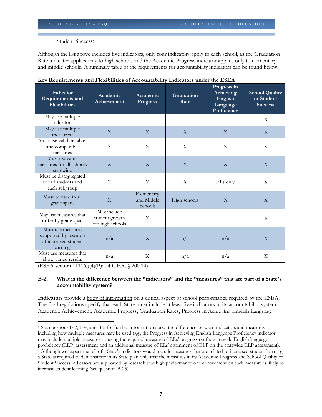Student Success).

Although the list above includes five indicators, only four indicators apply to each school, as the Graduation Rate indicator applies only to high schools and the Academic Progress indicator applies only to elementary and middle schools. A summary table of the requirements for accountability indicators can be found below.

| Indicator<br>Requirements and<br><b>Flexibilities</b>                                       | Academic<br>Achievement                           | Academic<br><b>Progress</b>         | Graduation<br>Rate        | Progress in<br>Achieving<br>English<br>Language<br>Proficiency | <b>School Quality</b><br>or Student<br><b>Success</b> |
|---------------------------------------------------------------------------------------------|---------------------------------------------------|-------------------------------------|---------------------------|----------------------------------------------------------------|-------------------------------------------------------|
| May use multiple<br>indicators                                                              |                                                   |                                     |                           |                                                                | X                                                     |
| May use multiple<br>measures <sup>3</sup>                                                   | X                                                 | X                                   | $\boldsymbol{\mathrm{X}}$ | $\mathbf{X}$                                                   | $\boldsymbol{\mathrm{X}}$                             |
| Must use valid, reliable,<br>and comparable<br>measures                                     | X                                                 | X                                   | X                         | X                                                              | X                                                     |
| Must use same<br>measures for all schools<br>statewide                                      | $\overline{X}$                                    | $\overline{X}$                      | $\overline{X}$            | $\overline{X}$                                                 | $\overline{X}$                                        |
| Must be disaggregated<br>for all students and<br>each subgroup                              | X                                                 | $\mathbf{X}$                        | X                         | ELs only                                                       | X                                                     |
| Must be used in all<br>grade spans                                                          | X                                                 | Elementary<br>and Middle<br>Schools | High schools              | X                                                              | X                                                     |
| May use measures that<br>differ by grade span                                               | May include<br>student growth<br>for high schools | X                                   |                           |                                                                | X                                                     |
| Must use measures<br>supported by research<br>of increased student<br>learning <sup>4</sup> | n/a                                               | $\overline{X}$                      | n/a                       | n/a                                                            | $\overline{X}$                                        |
| Must use measures that<br>show varied results                                               | n/a                                               | X                                   | n/a                       | n/a                                                            | $\mathbf{X}$                                          |

**Key Requirements and Flexibilities of Accountability Indicators under the ESEA**

(ESEA section 1111(c)(4)(B); 34 C.F.R. § 200.14)

# **B-2. What is the difference between the "indicators" and the "measures" that are part of a State's accountability system?**

**Indicators** provide a body of information on a critical aspect of school performance required by the ESEA. The final regulations specify that each State must include at least five indicators in its accountability system: Academic Achievement, Academic Progress, Graduation Rates, Progress in Achieving English Language

<span id="page-6-0"></span> $\overline{\phantom{a}}$ <sup>3</sup> See questions B-2, B-4, and B-5 for further information about the difference between indicators and measures, including how multiple measures may be used (*e.g.*, the Progress in Achieving English Language Proficiency indicator may include multiple measures by using the required measure of ELs' progress on the statewide English language proficiency (ELP) assessment and an additional measure of ELs' attainment of ELP on the statewide ELP assessment).

<span id="page-6-1"></span><sup>4</sup> Although we expect that all of a State's indicators would include measures that are related to increased student learning, a State is required to demonstrate in its State plan only that the measures in its Academic Progress and School Quality or Student Success indicators are supported by research that high performance or improvement on each measure is likely to increase student learning (see question B-25).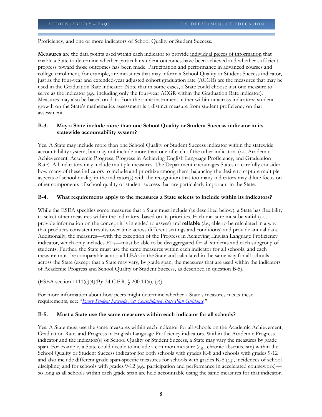Proficiency, and one or more indicators of School Quality or Student Success.

**Measures** are the data points used within each indicator to provide individual pieces of information that enable a State to determine whether particular student outcomes have been achieved and whether sufficient progress toward those outcomes has been made. Participation and performance in advanced courses and college enrollment, for example, are measures that may inform a School Quality or Student Success indicator, just as the four-year and extended-year adjusted cohort graduation rate (ACGR) are the measures that may be used in the Graduation Rate indicator. Note that in some cases, a State could choose just one measure to serve as the indicator (*e.g.*, including only the four-year ACGR within the Graduation Rate indicator). Measures may also be based on data from the same instrument, either within or across indicators; student growth on the State's mathematics assessment is a distinct measure from student proficiency on that assessment.

#### **B-3. May a State include more than one School Quality or Student Success indicator in its statewide accountability system?**

Yes. A State may include more than one School Quality or Student Success indicator within the statewide accountability system, but may not include more than one of each of the other indicators (*i.e.*, Academic Achievement, Academic Progress, Progress in Achieving English Language Proficiency, and Graduation Rate). All indicators may include multiple measures. The Department encourages States to carefully consider how many of these indicators to include and prioritize among them, balancing the desire to capture multiple aspects of school quality in the indicator(s) with the recognition that too many indicators may dilute focus on other components of school quality or student success that are particularly important in the State.

#### **B-4. What requirements apply to the measures a State selects to include within its indicators?**

While the ESEA specifies some measures that a State must include (as described below), a State has flexibility to select other measures within the indicators, based on its priorities. Each measure must be **valid** (*i.e.*, provide information on the concept it is intended to assess) and **reliable** (*i.e.*, able to be calculated in a way that produces consistent results over time across different settings and conditions) and provide annual data. Additionally, the measures—with the exception of the Progress in Achieving English Language Proficiency indicator, which only includes ELs—must be able to be disaggregated for all students and each subgroup of students. Further, the State must use the same measures within each indicator for all schools, and each measure must be comparable across all LEAs in the State and calculated in the same way for all schools across the State (except that a State may vary, by grade span, the measures that are used within the indicators of Academic Progress and School Quality or Student Success, as described in question B-5).

(ESEA section 1111(c)(4)(B); 34 C.F.R. § 200.14(a), (c))

For more information about how peers might determine whether a State's measures meets these requirements, see: "*[Every Student Succeeds Act Consolidated State Plan Guidance](http://www2.ed.gov/policy/elsec/leg/essa/essastateplanguidance.pdf)*."

#### **B-5. Must a State use the same measures within each indicator for all schools?**

Yes. A State must use the same measures within each indicator for all schools on the Academic Achievement, Graduation Rate, and Progress in English Language Proficiency indicators. Within the Academic Progress indicator and the indicator(s) of School Quality or Student Success, a State may vary the measures by grade span. For example, a State could decide to include a common measure (*e.g.*, chronic absenteeism) within the School Quality or Student Success indicator for both schools with grades K-8 and schools with grades 9-12 and also include different grade span-specific measures for schools with grades K-8 (*e.g.*, incidences of school discipline) and for schools with grades 9-12 (*e.g.*, participation and performance in accelerated coursework) so long as all schools within each grade span are held accountable using the same measures for that indicator.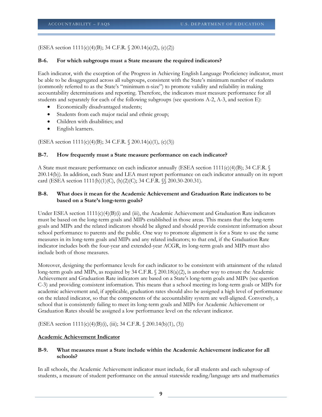#### (ESEA section 1111(c)(4)(B); 34 C.F.R. § 200.14(a)(2), (c)(2))

#### **B-6. For which subgroups must a State measure the required indicators?**

Each indicator, with the exception of the Progress in Achieving English Language Proficiency indicator, must be able to be disaggregated across all subgroups, consistent with the State's minimum number of students (commonly referred to as the State's "minimum n-size") to promote validity and reliability in making accountability determinations and reporting. Therefore, the indicators must measure performance for all students and separately for each of the following subgroups (see questions A-2, A-3, and section E):

- Economically disadvantaged students;
- Students from each major racial and ethnic group;
- Children with disabilities; and
- English learners.

(ESEA section 1111(c)(4)(B); 34 C.F.R. § 200.14(a)(1), (c)(3))

#### **B-7. How frequently must a State measure performance on each indicator?**

A State must measure performance on each indicator annually (ESEA section 1111(c)(4)(B); 34 C.F.R.  $\mathcal{S}$ 200.14(b)). In addition, each State and LEA must report performance on each indicator annually on its report card (ESEA section 1111(h)(1)(C), (h)(2)(C); 34 C.F.R. §§ 200.30-200.31).

#### **B-8. What does it mean for the Academic Achievement and Graduation Rate indicators to be based on a State's long-term goals?**

Under ESEA section  $1111(c)(4)(B)(i)$  and (iii), the Academic Achievement and Graduation Rate indicators must be based on the long-term goals and MIPs established in those areas. This means that the long-term goals and MIPs and the related indicators should be aligned and should provide consistent information about school performance to parents and the public. One way to promote alignment is for a State to use the same measures in its long-term goals and MIPs and any related indicators; to that end, if the Graduation Rate indicator includes both the four-year and extended-year ACGR, its long-term goals and MIPs must also include both of those measures.

Moreover, designing the performance levels for each indicator to be consistent with attainment of the related long-term goals and MIPs, as required by 34 C.F.R. § 200.18(a)(2), is another way to ensure the Academic Achievement and Graduation Rate indicators are based on a State's long-term goals and MIPs (see question C-3) and providing consistent information. This means that a school meeting its long-term goals or MIPs for academic achievement and, if applicable, graduation rates should also be assigned a high level of performance on the related indicator, so that the components of the accountability system are well-aligned. Conversely, a school that is consistently failing to meet its long-term goals and MIPs for Academic Achievement or Graduation Rates should be assigned a low performance level on the relevant indicator.

(ESEA section 1111(c)(4)(B)(i), (iii); 34 C.F.R. § 200.14(b)(1), (3))

#### **Academic Achievement Indicator**

#### **B-9. What measures must a State include within the Academic Achievement indicator for all schools?**

In all schools, the Academic Achievement indicator must include, for all students and each subgroup of students, a measure of student performance on the annual statewide reading/language arts and mathematics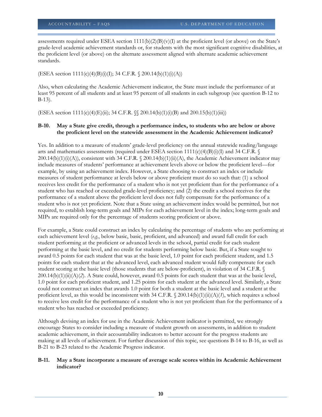assessments required under ESEA section  $1111(b)(2)(B)(v)(I)$  at the proficient level (or above) on the State's grade-level academic achievement standards or, for students with the most significant cognitive disabilities, at the proficient level (or above) on the alternate assessment aligned with alternate academic achievement standards.

(ESEA section  $1111(c)(4)(B)(i)(I); 34 C.F.R. \S 200.14(b)(1)(i)(A))$ 

Also, when calculating the Academic Achievement indicator, the State must include the performance of at least 95 percent of all students and at least 95 percent of all students in each subgroup (see question B-12 to B-13).

(ESEA section 1111(c)(4)(E)(ii); 34 C.F.R. §§ 200.14(b)(1)(i)(B) and 200.15(b)(1)(iii))

#### **B-10. May a State give credit, through a performance index, to students who are below or above the proficient level on the statewide assessment in the Academic Achievement indicator?**

Yes. In addition to a measure of students' grade-level proficiency on the annual statewide reading/language arts and mathematics assessments (required under ESEA section  $1111(c)(4)(B)(i)(I)$  and 34 C.F.R. §  $200.14(b)(1)(i)(A)$ , consistent with 34 C.F.R. § 200.14(b)(1)(ii)(A), the Academic Achievement indicator may include measures of students' performance at achievement levels above or below the proficient level—for example, by using an achievement index. However, a State choosing to construct an index or include measures of student performance at levels below or above proficient must do so such that: (1) a school receives less credit for the performance of a student who is not yet proficient than for the performance of a student who has reached or exceeded grade-level proficiency; and (2) the credit a school receives for the performance of a student above the proficient level does not fully compensate for the performance of a student who is not yet proficient. Note that a State using an achievement index would be permitted, but not required, to establish long-term goals and MIPs for each achievement level in the index; long-term goals and MIPs are required only for the percentage of students scoring proficient or above.

For example, a State could construct an index by calculating the percentage of students who are performing at each achievement level (*e.g.*, below basic, basic, proficient, and advanced) and award full credit for each student performing at the proficient or advanced levels in the school, partial credit for each student performing at the basic level, and no credit for students performing below basic. But, if a State sought to award 0.5 points for each student that was at the basic level, 1.0 point for each proficient student, and 1.5 points for each student that at the advanced level, each advanced student would fully compensate for each student scoring at the basic level (those students that are below-proficient), in violation of 34 C.F.R. § 200.14(b)(1)(ii)(A)(*2*). A State could, however, award 0.5 points for each student that was at the basic level, 1.0 point for each proficient student, and 1.25 points for each student at the advanced level. Similarly, a State could not construct an index that awards 1.0 point for both a student at the basic level and a student at the proficient level, as this would be inconsistent with 34 C.F.R. § 200.14(b)(1)(ii)(A)(*1*), which requires a school to receive less credit for the performance of a student who is not yet proficient than for the performance of a student who has reached or exceeded proficiency.

Although devising an index for use in the Academic Achievement indicator is permitted, we strongly encourage States to consider including a measure of student growth on assessments, in addition to student academic achievement, in their accountability indicators to better account for the progress students are making at all levels of achievement. For further discussion of this topic, see questions B-14 to B-16, as well as B-21 to B-23 related to the Academic Progress indicator.

#### **B-11. May a State incorporate a measure of average scale scores within its Academic Achievement indicator?**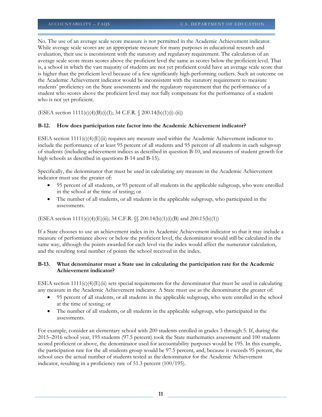No. The use of an average scale score measure is not permitted in the Academic Achievement indicator. While average scale scores are an appropriate measure for many purposes in educational research and evaluation, their use is inconsistent with the statutory and regulatory requirement. The calculation of an average scale score treats scores above the proficient level the same as scores below the proficient level. That is, a school in which the vast majority of students are not yet proficient could have an average scale score that is higher than the proficient level because of a few significantly high-performing outliers. Such an outcome on the Academic Achievement indicator would be inconsistent with the statutory requirement to measure students' proficiency on the State assessments and the regulatory requirement that the performance of a student who scores above the proficient level may not fully compensate for the performance of a student who is not yet proficient.

(ESEA section 1111(c)(4)(B)(i)(I); 34 C.F.R. § 200.14(b)(1)(i)-(ii))

# **B-12. How does participation rate factor into the Academic Achievement indicator?**

ESEA section  $1111(c)(4)(E)(ii)$  requires any measure used within the Academic Achievement indicator to include the performance of at least 95 percent of all students and 95 percent of all students in each subgroup of students (including achievement indices as described in question B-10, and measures of student growth for high schools as described in questions B-14 and B-15).

Specifically, the denominator that must be used in calculating any measure in the Academic Achievement indicator must use the greater of:

- 95 percent of all students, or 95 percent of all students in the applicable subgroup, who were enrolled in the school at the time of testing; or
- The number of all students, or all students in the applicable subgroup, who participated in the assessments.

# (ESEA section  $1111(c)(4)(E)(ii)$ ; 34 C.F.R. §§ 200.14(b)(1)(i)(B) and 200.15(b)(1))

If a State chooses to use an achievement index in its Academic Achievement indicator so that it may include a measure of performance above or below the proficient level, the denominator would still be calculated in the same way, although the points awarded for each level via the index would affect the numerator calculation, and the resulting total number of points the school received in the index.

# **B-13. What denominator must a State use in calculating the participation rate for the Academic Achievement indicator?**

ESEA section  $1111(c)(4)(E)(ii)$  sets special requirements for the denominator that must be used in calculating any measure in the Academic Achievement indicator. A State must use as the denominator the greater of:

- 95 percent of all students, or all students in the applicable subgroup, who were enrolled in the school at the time of testing; or
- The number of all students, or all students in the applicable subgroup, who participated in the assessments.

For example, consider an elementary school with 200 students enrolled in grades 3 through 5. If, during the 2015–2016 school year, 195 students (97.5 percent) took the State mathematics assessment and 100 students scored proficient or above, the denominator used for accountability purposes would be 195. In this example, the participation rate for the all students group would be 97.5 percent, and, because it exceeds 95 percent, the school uses the actual number of students tested as the denominator for the Academic Achievement indicator, resulting in a proficiency rate of 51.3 percent (100/195).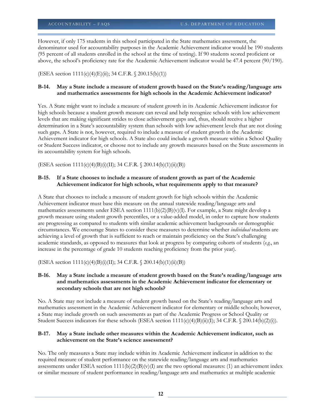However, if only 175 students in this school participated in the State mathematics assessment, the denominator used for accountability purposes in the Academic Achievement indicator would be 190 students (95 percent of all students enrolled in the school at the time of testing). If 90 students scored proficient or above, the school's proficiency rate for the Academic Achievement indicator would be 47.4 percent (90/190).

(ESEA section  $1111(c)(4)$ (E)(ii); 34 C.F.R. § 200.15(b)(1))

#### **B-14. May a State include a measure of student growth based on the State's reading/language arts and mathematics assessments for high schools in the Academic Achievement indicator?**

Yes. A State might want to include a measure of student growth in its Academic Achievement indicator for high schools because a student growth measure can reveal and help recognize schools with low achievement levels that are making significant strides to close achievement gaps and, thus, should receive a higher determination in a State's accountability system than schools with low achievement levels that are not closing such gaps. A State is not, however, required to include a measure of student growth in the Academic Achievement indicator for high schools. A State also could include a growth measure within a School Quality or Student Success indicator, or choose not to include any growth measures based on the State assessments in its accountability system for high schools.

(ESEA section 1111(c)(4)(B)(i)(II); 34 C.F.R. § 200.14(b)(1)(ii)(B))

# **B-15. If a State chooses to include a measure of student growth as part of the Academic Achievement indicator for high schools, what requirements apply to that measure?**

A State that chooses to include a measure of student growth for high schools within the Academic Achievement indicator must base this measure on the annual statewide reading/language arts and mathematics assessments under ESEA section  $1111(b)(2)(B)(v)(I)$ . For example, a State might develop a growth measure using student growth percentiles, or a value-added model, in order to capture how students are progressing as compared to students with similar academic achievement backgrounds or demographic circumstances. We encourage States to consider these measures to determine whether *individual* students are achieving a level of growth that is sufficient to reach or maintain proficiency on the State's challenging academic standards, as opposed to measures that look at progress by comparing cohorts of students (*e.g.*, an increase in the percentage of grade 10 students reaching proficiency from the prior year).

(ESEA section 1111(c)(4)(B)(i)(II); 34 C.F.R. § 200.14(b)(1)(ii)(B))

#### **B-16. May a State include a measure of student growth based on the State's reading/language arts and mathematics assessments in the Academic Achievement indicator for elementary or secondary schools that are not high schools?**

No. A State may not include a measure of student growth based on the State's reading/language arts and mathematics assessment in the Academic Achievement indicator for elementary or middle schools; however, a State may include growth on such assessments as part of the Academic Progress or School Quality or Student Success indicators for these schools (ESEA section  $1111(c)(4)(B)(ii)(I)$ ; 34 C.F.R. § 200.14(b)(2)(i)).

#### **B-17. May a State include other measures within the Academic Achievement indicator, such as achievement on the State's science assessment?**

No. The only measures a State may include within its Academic Achievement indicator in addition to the required measure of student performance on the statewide reading/language arts and mathematics assessments under ESEA section  $1111(b)(2)(B)(v)(I)$  are the two optional measures: (1) an achievement index or similar measure of student performance in reading/language arts and mathematics at multiple academic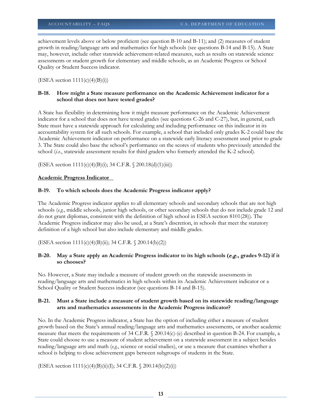achievement levels above or below proficient (see question B-10 and B-11); and (2) measures of student growth in reading/language arts and mathematics for high schools (see questions B-14 and B-15). A State may, however, include other statewide achievement-related measures, such as results on statewide science assessments or student growth for elementary and middle schools, as an Academic Progress or School Quality or Student Success indicator.

 $(ESEA section 1111(c)(4)(B)(i))$ 

#### **B-18. How might a State measure performance on the Academic Achievement indicator for a school that does not have tested grades?**

A State has flexibility in determining how it might measure performance on the Academic Achievement indicator for a school that does not have tested grades (see questions C-26 and C-27), but, in general, each State must have a statewide approach for calculating and including performance on this indicator in its accountability system for all such schools. For example, a school that included only grades K-2 could base the Academic Achievement indicator on performance on a statewide early literacy assessment used prior to grade 3. The State could also base the school's performance on the scores of students who previously attended the school (*i.e.*, statewide assessment results for third graders who formerly attended the K-2 school).

(ESEA section 1111(c)(4)(B)(i); 34 C.F.R. § 200.18(d)(1)(iii))

#### **Academic Progress Indicator**

#### **B-19. To which schools does the Academic Progress indicator apply?**

The Academic Progress indicator applies to all elementary schools and secondary schools that are not high schools (*e.g.*, middle schools, junior high schools, or other secondary schools that do not include grade 12 and do not grant diplomas, consistent with the definition of high school in ESEA section 8101(28)). The Academic Progress indicator may also be used, at a State's discretion, in schools that meet the statutory definition of a high school but also include elementary and middle grades.

(ESEA section 1111(c)(4)(B)(ii); 34 C.F.R. § 200.14(b)(2))

#### **B-20. May a State apply an Academic Progress indicator to its high schools (**e.g.**, grades 9-12) if it so chooses?**

No. However, a State may include a measure of student growth on the statewide assessments in reading/language arts and mathematics in high schools within its Academic Achievement indicator or a School Quality or Student Success indicator (see questions B-14 and B-15).

#### **B-21. Must a State include a measure of student growth based on its statewide reading/language arts and mathematics assessments in the Academic Progress indicator?**

No. In the Academic Progress indicator, a State has the option of including either a measure of student growth based on the State's annual reading/language arts and mathematics assessments, or another academic measure that meets the requirements of 34 C.F.R. § 200.14(c)-(e) described in question B-24. For example, a State could choose to use a measure of student achievement on a statewide assessment in a subject besides reading/language arts and math (*e.g.*, science or social studies), or use a measure that examines whether a school is helping to close achievement gaps between subgroups of students in the State.

(ESEA section  $1111(c)(4)(B)(ii)(I); 34 C.F.R. \S 200.14(b)(2)(i))$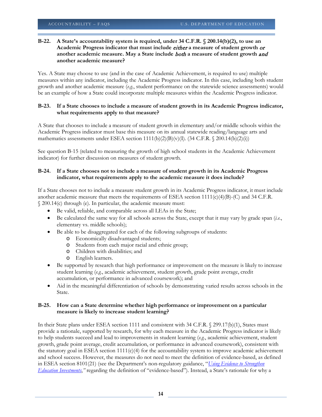#### **B-22. A State's accountability system is required, under 34 C.F.R. § 200.14(b)(2), to use an Academic Progress indicator that must include** either **a measure of student growth** or **another academic measure. May a State include** both **a measure of student growth** and **another academic measure?**

Yes. A State may choose to use (and in the case of Academic Achievement, is required to use) multiple measures within any indicator, including the Academic Progress indicator. In this case, including both student growth and another academic measure (*e.g.*, student performance on the statewide science assessments) would be an example of how a State could incorporate multiple measures within the Academic Progress indicator.

#### **B-23. If a State chooses to include a measure of student growth in its Academic Progress indicator, what requirements apply to that measure?**

A State that chooses to include a measure of student growth in elementary and/or middle schools within the Academic Progress indicator must base this measure on its annual statewide reading/language arts and mathematics assessments under ESEA section  $1111(b)(2)(B)(v)(I)$ . (34 C.F.R. § 200.14(b)(2)(i))

See question B-15 (related to measuring the growth of high school students in the Academic Achievement indicator) for further discussion on measures of student growth.

#### **B-24. If a State chooses not to include a measure of student growth in its Academic Progress indicator, what requirements apply to the academic measure it does include?**

If a State chooses not to include a measure student growth in its Academic Progress indicator, it must include another academic measure that meets the requirements of ESEA section  $1111(c)(4)(B)-(C)$  and 34 C.F.R. § 200.14(c) through (e). In particular, the academic measure must:

- Be valid, reliable, and comparable across all LEAs in the State;
- Be calculated the same way for all schools across the State, except that it may vary by grade span (*i.e.*, elementary vs. middle schools);
- Be able to be disaggregated for each of the following subgroups of students:
	- o Economically disadvantaged students;
	- o Students from each major racial and ethnic group;
	- o Children with disabilities; and
	- o English learners.
- Be supported by research that high performance or improvement on the measure is likely to increase student learning (*e.g.*, academic achievement, student growth, grade point average, credit accumulation, or performance in advanced coursework); and
- Aid in the meaningful differentiation of schools by demonstrating varied results across schools in the State.

#### **B-25. How can a State determine whether high performance or improvement on a particular measure is likely to increase student learning?**

In their State plans under ESEA section 1111 and consistent with 34 C.F.R. § 299.17(b)(1), States must provide a rationale, supported by research, for why each measure in the Academic Progress indicator is likely to help students succeed and lead to improvements in student learning (*e.g.*, academic achievement, student growth, grade point average, credit accumulation, or performance in advanced coursework), consistent with the statutory goal in ESEA section  $1111(c)(4)$  for the accountability system to improve academic achievement and school success. However, the measures do not need to meet the definition of evidence-based, as defined in ESEA section 8101(21) (see the Department's non-regulatory guidance, "*[Using Evidence to Strengthen](http://www2.ed.gov/policy/elsec/leg/essa/guidanceuseseinvestment.pdf)  [Education Investments](http://www2.ed.gov/policy/elsec/leg/essa/guidanceuseseinvestment.pdf)*,*"* regarding the definition of "evidence-based"). Instead, a State's rationale for why a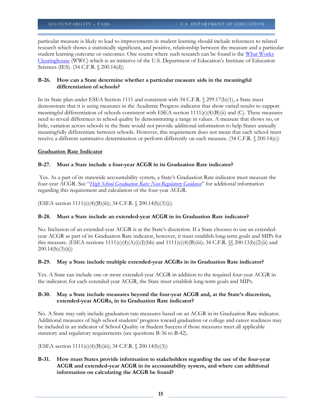particular measure is likely to lead to improvements in student learning should include references to related research which shows a statistically significant, and positive, relationship between the measure and a particular student learning outcome or outcomes. One source where such research can be found is the What Works [Clearinghouse](http://ies.ed.gov/ncee/Wwc/) (WWC) which is an initiative of the U.S. Department of Education's Institute of Education Sciences (IES). (34 C.F.R. § 200.14(d))

# **B-26. How can a State determine whether a particular measure aids in the meaningful differentiation of schools?**

In its State plan under ESEA Section 1111 and consistent with 34 C.F.R. § 299.17(b)(1), a State must demonstrate that it is using measures in the Academic Progress indicator that show varied results to support meaningful differentiation of schools consistent with ESEA section 1111(c)(4)(B)(ii) and (C). These measures need to reveal differences in school quality by demonstrating a range in values. A measure that shows no, or little, variation across schools in the State would not provide additional information to help States annually meaningfully differentiate between schools. However, this requirement does not mean that each school must receive a different summative determination or perform differently on each measure. (34 C.F.R. § 200.14(e))

# **Graduation Rate Indicator**

# **B-27. Must a State include a four-year ACGR in its Graduation Rate indicator?**

Yes. As a part of its statewide accountability system, a State's Graduation Rate indicator must measure the four-year ACGR. See "*[High School Graduation Rate: Non-Regulatory Guidance](http://www2.ed.gov/policy/elsec/leg/essa/essagradrateguidance.pdf)*" for additional information regarding this requirement and calculation of the four-year ACGR.

(ESEA section 1111(c)(4)(B)(iii); 34 C.F.R. § 200.14(b)(3)(i))

# **B-28. Must a State include an extended-year ACGR in its Graduation Rate indicator?**

No. Inclusion of an extended-year ACGR is at the State's discretion. If a State chooses to use an extendedyear ACGR as part of its Graduation Rate indicator, however, it must establish long-term goals and MIPs for this measure. (ESEA sections  $1111(c)(4)(A)(i)(I)(bb)$  and  $1111(c)(4)(B)(iii)$ ; 34 C.F.R.  $\frac{6}{5}$  200.13(b)(2)(ii) and  $200.14(b)(3)(ii)$ 

#### **B-29. May a State include multiple extended-year ACGRs in its Graduation Rate indicator?**

Yes. A State can include one or more extended-year ACGR in addition to the required four-year ACGR in the indicator; for each extended-year ACGR, the State must establish long-term goals and MIPs.

#### **B-30. May a State include measures beyond the four-year ACGR and, at the State's discretion, extended-year ACGRs, in its Graduation Rate indicator?**

No. A State may only include graduation rate measures based on an ACGR in its Graduation Rate indicator. Additional measures of high school students' progress toward graduation or college and career readiness may be included in an indicator of School Quality or Student Success if those measures meet all applicable statutory and regulatory requirements (see questions B-36 to B-42).

(ESEA section  $1111(c)(4)(B)(iii)$ ; 34 C.F.R. § 200.14(b)(3))

# **B-31. How must States provide information to stakeholders regarding the use of the four-year ACGR and extended-year ACGR in its accountability system, and where can additional information on calculating the ACGR be found?**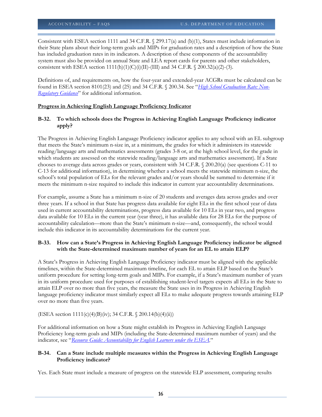Consistent with ESEA section 1111 and 34 C.F.R. § 299.17(a) and (b)(1), States must include information in their State plans about their long-term goals and MIPs for graduation rates and a description of how the State has included graduation rates in its indicators. A description of these components of the accountability system must also be provided on annual State and LEA report cards for parents and other stakeholders, consistent with ESEA section  $1111(h)(1)(C)(i)(II)$ -(III) and 34 C.F.R. § 200.32(a)(2)-(3).

Definitions of, and requirements on, how the four-year and extended-year ACGRs must be calculated can be found in ESEA section 8101(23) and (25) and 34 C.F.R. § 200.34. See "*[High School Graduation Rate: Non-](http://www2.ed.gov/policy/elsec/leg/essa/essagradrateguidance.pdf)[Regulatory Guidance](http://www2.ed.gov/policy/elsec/leg/essa/essagradrateguidance.pdf)*" for additional information.

#### **Progress in Achieving English Language Proficiency Indicator**

# **B-32. To which schools does the Progress in Achieving English Language Proficiency indicator apply?**

The Progress in Achieving English Language Proficiency indicator applies to any school with an EL subgroup that meets the State's minimum n-size in, at a minimum, the grades for which it administers its statewide reading/language arts and mathematics assessments (grades 3-8 or, at the high school level, for the grade in which students are assessed on the statewide reading/language arts and mathematics assessment). If a State chooses to average data across grades or years, consistent with 34 C.F.R. § 200.20(a) (see questions C-11 to C-13 for additional information), in determining whether a school meets the statewide minimum n-size, the school's total population of ELs for the relevant grades and/or years should be summed to determine if it meets the minimum n-size required to include this indicator in current year accountability determinations.

For example, assume a State has a minimum n-size of 20 students and averages data across grades and over three years. If a school in that State has progress data available for eight ELs in the first school year of data used in current accountability determinations, progress data available for 10 ELs in year two, and progress data available for 10 ELs in the current year (year three), it has available data for 28 ELs for the purpose of accountability calculation—more than the State's minimum n-size—and, consequently, the school would include this indicator in its accountability determinations for the current year.

# **B-33. How can a State's Progress in Achieving English Language Proficiency indicator be aligned with the State-determined maximum number of years for an EL to attain ELP?**

A State's Progress in Achieving English Language Proficiency indicator must be aligned with the applicable timelines, within the State-determined maximum timeline, for each EL to attain ELP based on the State's uniform procedure for setting long-term goals and MIPs. For example, if a State's maximum number of years in its uniform procedure used for purposes of establishing student-level targets expects all ELs in the State to attain ELP over no more than five years, the measure the State uses in its Progress in Achieving English language proficiency indicator must similarly expect all ELs to make adequate progress towards attaining ELP over no more than five years.

(ESEA section  $1111(c)(4)(B)(iv)$ ; 34 C.F.R. § 200.14(b)(4)(ii))

For additional information on how a State might establish its Progress in Achieving English Language Proficiency long-term goals and MIPs (including the State-determined maximum number of years) and the indicator, see "*[Resource Guide: Accountability for English Learners under the ESEA](http://www2.ed.gov/programs/sfgp/eseatitleiiiresourceaccountelsguide.docx)*."

# **B-34. Can a State include multiple measures within the Progress in Achieving English Language Proficiency indicator?**

Yes. Each State must include a measure of progress on the statewide ELP assessment, comparing results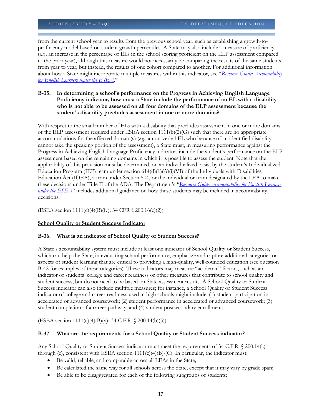from the current school year to results from the previous school year, such as establishing a growth-toproficiency model based on student growth percentiles. A State may also include a measure of proficiency (*e.g.*, an increase in the percentage of ELs in the school scoring proficient on the ELP assessment compared to the prior year), although this measure would not necessarily be comparing the results of the same students from year to year, but instead, the results of one cohort compared to another. For additional information about how a State might incorporate multiple measures within this indicator, see "*[Resource Guide: Accountability](http://www2.ed.gov/programs/sfgp/eseatitleiiiresourceaccountelsguide.docx)  [for English Learners under the ESEA](http://www2.ed.gov/programs/sfgp/eseatitleiiiresourceaccountelsguide.docx)*."

#### **B-35. In determining a school's performance on the Progress in Achieving English Language Proficiency indicator, how must a State include the performance of an EL with a disability who is not able to be assessed on all four domains of the ELP assessment because the student's disability precludes assessment in one or more domains?**

With respect to the small number of ELs with a disability that precludes assessment in one or more domains of the ELP assessment required under ESEA section  $1111(b)(2)(G)$  such that there are no appropriate accommodations for the affected domain(s) (*e.g.*, a non-verbal EL who because of an identified disability cannot take the speaking portion of the assessment), a State must, in measuring performance against the Progress in Achieving English Language Proficiency indicator, include the student's performance on the ELP assessment based on the remaining domains in which it is possible to assess the student. Note that the applicability of this provision must be determined, on an individualized basis, by the student's Individualized Education Program (IEP) team under section  $614(d)(1)(A)(i)(V)$  of the Individuals with Disabilities Education Act (IDEA), a team under Section 504, or the individual or team designated by the LEA to make these decisions under Title II of the ADA. The Department's "*[Resource Guide: Accountability for English Learners](http://www2.ed.gov/programs/sfgp/eseatitleiiiresourceaccountelsguide.docx)  [under the ESEA](http://www2.ed.gov/programs/sfgp/eseatitleiiiresourceaccountelsguide.docx)*" includes additional guidance on how these students may be included in accountability decisions.

(ESEA section 1111(c)(4)(B)(iv); 34 CFR § 200.16(c)(2))

# **School Quality or Student Success Indicator**

# **B-36. What is an indicator of School Quality or Student Success?**

A State's accountability system must include at least one indicator of School Quality or Student Success, which can help the State, in evaluating school performance, emphasize and capture additional categories or aspects of student learning that are critical to providing a high-quality, well-rounded education (see question B-42 for examples of these categories). These indicators may measure "academic" factors, such as an indicator of students' college and career readiness or other measures that contribute to school quality and student success, but do not need to be based on State assessment results. A School Quality or Student Success indicator can also include multiple measures; for instance, a School Quality or Student Success indicator of college and career readiness used in high schools might include: (1) student participation in accelerated or advanced coursework; (2) student performance in accelerated or advanced coursework; (3) student completion of a career pathway; and (4) student postsecondary enrollment.

(ESEA section 1111(c)(4)(B)(v); 34 C.F.R. § 200.14(b)(5))

# **B-37. What are the requirements for a School Quality or Student Success indicator?**

Any School Quality or Student Success indicator must meet the requirements of 34 C.F.R. § 200.14(c) through (e), consistent with ESEA section  $1111(c)(4)(B)-(C)$ . In particular, the indicator must:

- Be valid, reliable, and comparable across all LEAs in the State;
- Be calculated the same way for all schools across the State, except that it may vary by grade span;
- Be able to be disaggregated for each of the following subgroups of students: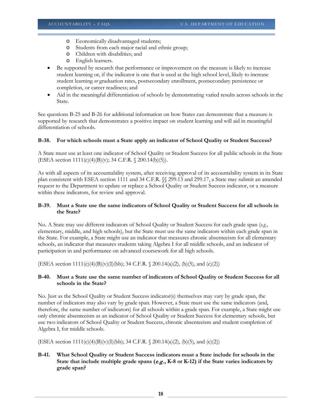- o Economically disadvantaged students;
- o Students from each major racial and ethnic group;
- o Children with disabilities; and
- o English learners.
- Be supported by research that performance or improvement on the measure is likely to increase student learning or, if the indicator is one that is used at the high school level, likely to increase student learning *or* graduation rates, postsecondary enrollment, postsecondary persistence or completion, or career readiness; and
- Aid in the meaningful differentiation of schools by demonstrating varied results across schools in the State.

See questions B-25 and B-26 for additional information on how States can demonstrate that a measure is supported by research that demonstrates a positive impact on student learning and will aid in meaningful differentiation of schools.

#### **B-38. For which schools must a State apply an indicator of School Quality or Student Success?**

A State must use at least one indicator of School Quality or Student Success for all public schools in the State (ESEA section 1111(c)(4)(B)(v); 34 C.F.R. § 200.14(b)(5)).

As with all aspects of its accountability system, after receiving approval of its accountability system in its State plan consistent with ESEA section 1111 and 34 C.F.R. §§ 299.13 and 299.17, a State may submit an amended request to the Department to update or replace a School Quality or Student Success indicator, or a measure within these indicators, for review and approval.

#### **B-39. Must a State use the same indicators of School Quality or Student Success for all schools in the State?**

No. A State may use different indicators of School Quality or Student Success for each grade span (*e.g.*, elementary, middle, and high schools), but the State must use the same indicators within each grade span in the State. For example, a State might use an indicator that measures chronic absenteeism for all elementary schools, an indicator that measures students taking Algebra I for all middle schools, and an indicator of participation in and performance on advanced coursework for all high schools.

(ESEA section 1111(c)(4)(B)(v)(I)(bb); 34 C.F.R. § 200.14(a)(2), (b)(5), and (c)(2))

#### **B-40. Must a State use the same number of indicators of School Quality or Student Success for all schools in the State?**

No. Just as the School Quality or Student Success indicator(s) themselves may vary by grade span, the number of indicators may also vary by grade span. However, a State must use the same indicators (and, therefore, the same number of indicators) for all schools within a grade span. For example, a State might use only chronic absenteeism as an indicator of School Quality or Student Success for elementary schools, but use two indicators of School Quality or Student Success, chronic absenteeism and student completion of Algebra I, for middle schools.

(ESEA section 1111(c)(4)(B)(v)(I)(bb); 34 C.F.R. § 200.14(a)(2), (b)(5), and (c)(2))

# **B-41. What School Quality or Student Success indicators must a State include for schools in the State that include multiple grade spans (**e.g.**, K-8 or K-12) if the State varies indicators by grade span?**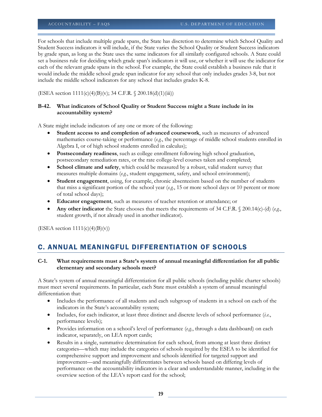For schools that include multiple grade spans, the State has discretion to determine which School Quality and Student Success indicators it will include, if the State varies the School Quality or Student Success indicators by grade span, as long as the State uses the same indicators for all similarly configured schools. A State could set a business rule for deciding which grade span's indicators it will use, or whether it will use the indicator for each of the relevant grade spans in the school. For example, the State could establish a business rule that it would include the middle school grade span indicator for any school that only includes grades 3-8, but not include the middle school indicators for any school that includes grades K-8.

(ESEA section 1111(c)(4)(B)(v); 34 C.F.R. § 200.18(d)(1)(iii))

#### **B-42. What indicators of School Quality or Student Success might a State include in its accountability system?**

A State might include indicators of any one or more of the following:

- **Student access to and completion of advanced coursework**, such as measures of advanced mathematics course-taking or performance (*e.g.*, the percentage of middle school students enrolled in Algebra I, or of high school students enrolled in calculus);
- **Postsecondary readiness**, such as college enrollment following high school graduation, postsecondary remediation rates, or the rate college-level courses taken and completed;
- **School climate and safety**, which could be measured by a robust, valid student survey that measures multiple domains (*e.g.*, student engagement, safety, and school environment);
- **Student engagement**, using, for example, chronic absenteeism based on the number of students that miss a significant portion of the school year (*e.g.*, 15 or more school days or 10 percent or more of total school days);
- **Educator engagement**, such as measures of teacher retention or attendance; or
- **Any other indicator** the State chooses that meets the requirements of 34 C.F.R. § 200.14(c)-(d) (*e.g.*, student growth, if not already used in another indicator).

(ESEA section  $1111(c)(4)(B)(v)$ )

# C. ANNUAL MEANINGFUL DIFFERENTIATION OF SCHOOLS

#### **C-1. What requirements must a State's system of annual meaningful differentiation for all public elementary and secondary schools meet?**

A State's system of annual meaningful differentiation for all public schools (including public charter schools) must meet several requirements. In particular, each State must establish a system of annual meaningful differentiation that:

- Includes the performance of all students and each subgroup of students in a school on each of the indicators in the State's accountability system;
- Includes, for each indicator, at least three distinct and discrete levels of school performance (*i.e.*, performance levels);
- Provides information on a school's level of performance (*e.g.*, through a data dashboard) on each indicator, separately, on LEA report cards;
- Results in a single, summative determination for each school, from among at least three distinct categories—which may include the categories of schools required by the ESEA to be identified for comprehensive support and improvement and schools identified for targeted support and improvement—and meaningfully differentiates between schools based on differing levels of performance on the accountability indicators in a clear and understandable manner, including in the overview section of the LEA's report card for the school;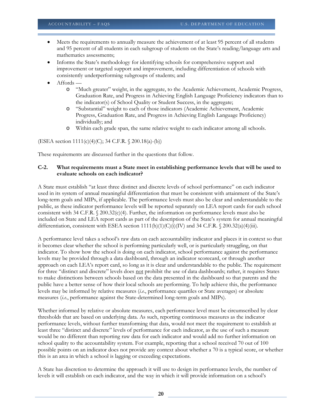- Meets the requirements to annually measure the achievement of at least 95 percent of all students and 95 percent of all students in each subgroup of students on the State's reading/language arts and mathematics assessments;
- Informs the State's methodology for identifying schools for comprehensive support and improvement or targeted support and improvement, including differentiation of schools with consistently underperforming subgroups of students; and
- Affords
	- o "Much greater" weight, in the aggregate, to the Academic Achievement, Academic Progress, Graduation Rate, and Progress in Achieving English Language Proficiency indicators than to the indicator(s) of School Quality or Student Success, in the aggregate;
	- o "Substantial" weight to each of those indicators (Academic Achievement, Academic Progress, Graduation Rate, and Progress in Achieving English Language Proficiency) individually; and
	- o Within each grade span, the same relative weight to each indicator among all schools.

(ESEA section 1111(c)(4)(C); 34 C.F.R. § 200.18(a)-(b))

These requirements are discussed further in the questions that follow.

#### **C-2. What requirements must a State meet in establishing performance levels that will be used to evaluate schools on each indicator?**

A State must establish "at least three distinct and discrete levels of school performance" on each indicator used in its system of annual meaningful differentiation that must be consistent with attainment of the State's long-term goals and MIPs, if applicable. The performance levels must also be clear and understandable to the public, as these indicator performance levels will be reported separately on LEA report cards for each school consistent with 34 C.F.R.  $\frac{0.20032(c)(4)}{c}$ . Further, the information on performance levels must also be included on State and LEA report cards as part of the description of the State's system for annual meaningful differentiation, consistent with ESEA section 1111(h)(1)(C)(i)(IV) and 34 C.F.R. § 200.32(a)(4)(iii).

A performance level takes a school's raw data on each accountability indicator and places it in context so that it becomes clear whether the school is performing particularly well, or is particularly struggling, on that indicator. To show how the school is doing on each indicator, school performance against the performance levels may be provided through a data dashboard, through an indicator scorecard, or through another approach on each LEA's report card, so long as it is clear and understandable to the public. The requirement for three "distinct and discrete" levels does not prohibit the use of data dashboards; rather, it requires States to make distinctions between schools based on the data presented in the dashboard so that parents and the public have a better sense of how their local schools are performing. To help achieve this, the performance levels may be informed by relative measures (*i.e.*, performance quartiles or State averages) or absolute measures (*i.e.*, performance against the State-determined long-term goals and MIPs).

Whether informed by relative or absolute measures, each performance level must be circumscribed by clear thresholds that are based on underlying data. As such, reporting continuous measures as the indicator performance levels, without further transforming that data, would not meet the requirement to establish at least three "distinct and discrete" levels of performance for each indicator, as the use of such a measure would be no different than reporting raw data for each indicator and would add no further information on school quality to the accountability system. For example, reporting that a school received 70 out of 100 possible points on an indicator does not provide any context about whether a 70 is a typical score, or whether this is an area in which a school is lagging or exceeding expectations.

A State has discretion to determine the approach it will use to design its performance levels, the number of levels it will establish on each indicator, and the way in which it will provide information on a school's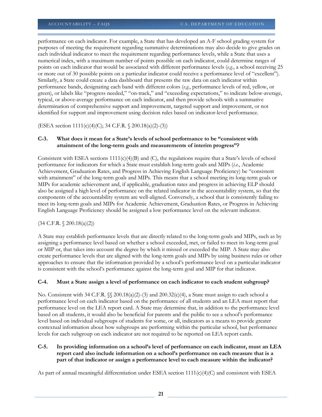performance on each indicator. For example, a State that has developed an A-F school grading system for purposes of meeting the requirement regarding summative determinations may also decide to give grades on each individual indicator to meet the requirement regarding performance levels, while a State that uses a numerical index, with a maximum number of points possible on each indicator, could determine ranges of points on each indicator that would be associated with different performance levels (*e.g.*, a school receiving 25 or more out of 30 possible points on a particular indicator could receive a performance level of "excellent"). Similarly, a State could create a data dashboard that presents the raw data on each indicator within performance bands, designating each band with different colors (*e.g.*, performance levels of red, yellow, or green), or labels like "progress needed," "on-track," and "exceeding expectations," to indicate below-average, typical, or above-average performance on each indicator, and then provide schools with a summative determination of comprehensive support and improvement, targeted support and improvement, or not identified for support and improvement using decision rules based on indicator-level performance.

(ESEA section 1111(c)(4)(C); 34 C.F.R. § 200.18(a)(2)-(3))

#### **C-3. What does it mean for a State's levels of school performance to be "consistent with attainment of the long-term goals and measurements of interim progress"?**

Consistent with ESEA sections  $1111(c)(4)(B)$  and (C), the regulations require that a State's levels of school performance for indicators for which a State must establish long-term goals and MIPs (*i.e.*, Academic Achievement, Graduation Rates, and Progress in Achieving English Language Proficiency) be "consistent with attainment" of the long-term goals and MIPs. This means that a school meeting its long-term goals or MIPs for academic achievement and, if applicable, graduation rates and progress in achieving ELP should also be assigned a high level of performance on the related indicator in the accountability system, so that the components of the accountability system are well-aligned. Conversely, a school that is consistently failing to meet its long-term goals and MIPs for Academic Achievement, Graduation Rates, or Progress in Achieving English Language Proficiency should be assigned a low performance level on the relevant indicator.

# $(34 \text{ C.F.R. } \S 200.18(a)(2))$

A State may establish performance levels that are directly related to the long-term goals and MIPs, such as by assigning a performance level based on whether a school exceeded, met, or failed to meet its long-term goal or MIP or, that takes into account the degree by which it missed or exceeded the MIP. A State may also create performance levels that are aligned with the long-term goals and MIPs by using business rules or other approaches to ensure that the information provided by a school's performance level on a particular indicator is consistent with the school's performance against the long-term goal and MIP for that indicator.

# **C-4. Must a State assign a level of performance on each indicator to each student subgroup?**

No. Consistent with 34 C.F.R.  $\S$  200.18(a)(2)-(3) and 200.32(c)(4), a State must assign to each school a performance level on each indicator based on the performance of all students and an LEA must report that performance level on the LEA report card. A State may determine that, in addition to the performance level based on all students, it would also be beneficial for parents and the public to see a school's performance level based on individual subgroups of students for some, or all, indicators as a means to provide greater contextual information about how subgroups are performing within the particular school, but performance levels for each subgroup on each indicator are not required to be reported on LEA report cards.

# **C-5. In providing information on a school's level of performance on each indicator, must an LEA report card also include information on a school's performance on each measure that is a part of that indicator or assign a performance level to each measure within the indicator?**

As part of annual meaningful differentiation under ESEA section  $1111(c)(4)(C)$  and consistent with ESEA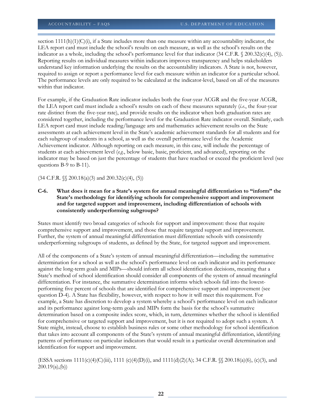section  $1111(h)(1)(C)(i)$ , if a State includes more than one measure within any accountability indicator, the LEA report card must include the school's results on each measure, as well as the school's results on the indicator as a whole, including the school's performance level for that indicator (34 C.F.R. § 200.32(c)(4), (5)). Reporting results on individual measures within indicators improves transparency and helps stakeholders understand key information underlying the results on the accountability indicators. A State is not, however, required to assign or report a performance level for each measure within an indicator for a particular school. The performance levels are only required to be calculated at the indicator-level, based on all of the measures within that indicator.

For example, if the Graduation Rate indicator includes both the four-year ACGR and the five-year ACGR, the LEA report card must include a school's results on each of these measures separately (*i.e.*, the four-year rate distinct from the five-year rate), and provide results on the indicator when both graduation rates are considered together, including the performance level for the Graduation Rate indicator overall. Similarly, each LEA report card must include reading/language arts and mathematics achievement results on the State assessments at each achievement level in the State's academic achievement standards for all students and for each subgroup of students in a school, as well as the overall performance level for the Academic Achievement indicator. Although reporting on each measure, in this case, will include the percentage of students at each achievement level (*e.g.*, below basic, basic, proficient, and advanced), reporting on the indicator may be based on just the percentage of students that have reached or exceed the proficient level (see questions B-9 to B-11).

 $(34 \text{ C.F.R. } \mathcal{S} \mathcal{S} 200.18(a)(3) \text{ and } 200.32(c)(4), (5))$ 

# **C-6. What does it mean for a State's system for annual meaningful differentiation to "inform" the State's methodology for identifying schools for comprehensive support and improvement and for targeted support and improvement, including differentiation of schools with consistently underperforming subgroups?**

States must identify two broad categories of schools for support and improvement: those that require comprehensive support and improvement, and those that require targeted support and improvement. Further, the system of annual meaningful differentiation must differentiate schools with consistently underperforming subgroups of students, as defined by the State, for targeted support and improvement.

All of the components of a State's system of annual meaningful differentiation—including the summative determination for a school as well as the school's performance level on each indicator and its performance against the long-term goals and MIPs—should inform all school identification decisions, meaning that a State's method of school identification should consider all components of the system of annual meaningful differentiation. For instance, the summative determination informs which schools fall into the lowestperforming five percent of schools that are identified for comprehensive support and improvement (see question D-4). A State has flexibility, however, with respect to how it will meet this requirement. For example, a State has discretion to develop a system whereby a school's performance level on each indicator and its performance against long-term goals and MIPs form the basis for the school's summative determination based on a composite index score, which, in turn, determines whether the school is identified for comprehensive or targeted support and improvement, but it is not required to adopt such a system. A State might, instead, choose to establish business rules or some other methodology for school identification that takes into account all components of the State's system of annual meaningful differentiation, identifying patterns of performance on particular indicators that would result in a particular overall determination and identification for support and improvement.

(ESSA sections 1111(c)(4)(C)(iii), 1111 (c)(4)(D)(i), and 1111(d)(2)(A); 34 C.F.R. §§ 200.18(a)(6), (c)(3), and  $200.19(a)$ <sub>(b)</sub>)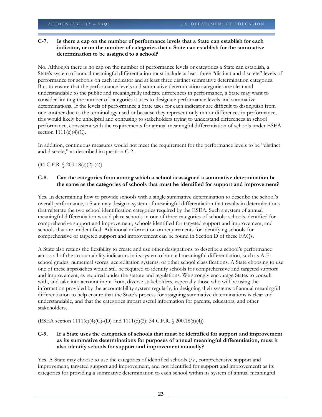# **C-7. Is there a cap on the number of performance levels that a State can establish for each indicator, or on the number of categories that a State can establish for the summative determination to be assigned to a school?**

No. Although there is no cap on the number of performance levels or categories a State can establish, a State's system of annual meaningful differentiation must include at least three "distinct and discrete" levels of performance for schools on each indicator and at least three distinct summative determination categories. But, to ensure that the performance levels and summative determination categories are clear and understandable to the public and meaningfully indicate differences in performance, a State may want to consider limiting the number of categories it uses to designate performance levels and summative determinations. If the levels of performance a State uses for each indicator are difficult to distinguish from one another due to the terminology used or because they represent only minor differences in performance, this would likely be unhelpful and confusing to stakeholders trying to understand differences in school performance, consistent with the requirements for annual meaningful differentiation of schools under ESEA section  $1111(c)(4)(C)$ .

In addition, continuous measures would not meet the requirement for the performance levels to be "distinct and discrete," as described in question C-2.

(34 C.F.R. § 200.18(a)(2)-(4))

# **C-8. Can the categories from among which a school is assigned a summative determination be the same as the categories of schools that must be identified for support and improvement?**

Yes. In determining how to provide schools with a single summative determination to describe the school's overall performance, a State may design a system of meaningful differentiation that results in determinations that reiterate the two school identification categories required by the ESEA. Such a system of annual meaningful differentiation would place schools in one of three categories of schools: schools identified for comprehensive support and improvement, schools identified for targeted support and improvement, and schools that are unidentified. Additional information on requirements for identifying schools for comprehensive or targeted support and improvement can be found in Section D of these FAQs.

A State also retains the flexibility to create and use other designations to describe a school's performance across all of the accountability indicators in its system of annual meaningful differentiation, such as A-F school grades, numerical scores, accreditation systems, or other school classifications. A State choosing to use one of these approaches would still be required to identify schools for comprehensive and targeted support and improvement, as required under the statute and regulations. We strongly encourage States to consult with, and take into account input from, diverse stakeholders, especially those who will be using the information provided by the accountability system regularly, in designing their systems of annual meaningful differentiation to help ensure that the State's process for assigning summative determinations is clear and understandable, and that the categories impart useful information for parents, educators, and other stakeholders.

(ESEA section 1111(c)(4)(C)-(D) and 1111(d)(2); 34 C.F.R. § 200.18(a)(4))

# **C-9. If a State uses the categories of schools that must be identified for support and improvement as its summative determinations for purposes of annual meaningful differentiation, must it also identify schools for support and improvement annually?**

Yes. A State may choose to use the categories of identified schools (*i.e.*, comprehensive support and improvement, targeted support and improvement, and not identified for support and improvement) as its categories for providing a summative determination to each school within its system of annual meaningful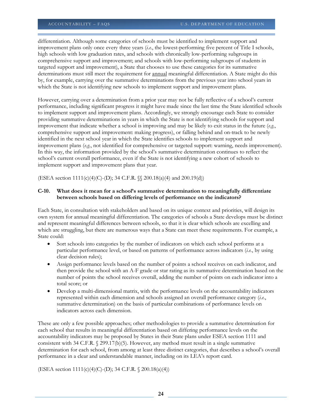differentiation. Although some categories of schools must be identified to implement support and improvement plans only once every three years (*i.e.*, the lowest-performing five percent of Title I schools, high schools with low graduation rates, and schools with chronically low-performing subgroups in comprehensive support and improvement; and schools with low-performing subgroups of students in targeted support and improvement), a State that chooses to use these categories for its summative determinations must still meet the requirement for annual meaningful differentiation. A State might do this by, for example, carrying over the summative determinations from the previous year into school years in which the State is not identifying new schools to implement support and improvement plans.

However, carrying over a determination from a prior year may not be fully reflective of a school's current performance, including significant progress it might have made since the last time the State identified schools to implement support and improvement plans. Accordingly, we strongly encourage each State to consider providing summative determinations in years in which the State is not identifying schools for support and improvement that indicate whether a school is improving and may be likely to exit status in the future (*e.g.*, comprehensive support and improvement: making progress), or falling behind and on-track to be newly identified in the next school year in which the State identifies schools to implement support and improvement plans (*e.g.*, not identified for comprehensive or targeted support: warning, needs improvement). In this way, the information provided by the school's summative determination continues to reflect the school's current overall performance, even if the State is not identifying a new cohort of schools to implement support and improvement plans that year.

(ESEA section 1111(c)(4)(C)-(D); 34 C.F.R. §§ 200.18(a)(4) and 200.19(d))

# **C-10. What does it mean for a school's summative determination to meaningfully differentiate between schools based on differing levels of performance on the indicators?**

Each State, in consultation with stakeholders and based on its unique context and priorities, will design its own system for annual meaningful differentiation. The categories of schools a State develops must be distinct and represent meaningful differences between schools, so that it is clear which schools are excelling and which are struggling, but there are numerous ways that a State can meet these requirements. For example, a State could:

- Sort schools into categories by the number of indicators on which each school performs at a particular performance level, or based on patterns of performance across indicators (*i.e.*, by using clear decision rules);
- Assign performance levels based on the number of points a school receives on each indicator, and then provide the school with an A-F grade or star rating as its summative determination based on the number of points the school receives overall, adding the number of points on each indicator into a total score; or
- Develop a multi-dimensional matrix, with the performance levels on the accountability indicators represented within each dimension and schools assigned an overall performance category (*i.e.*, summative determination) on the basis of particular combinations of performance levels on indicators across each dimension.

These are only a few possible approaches; other methodologies to provide a summative determination for each school that results in meaningful differentiation based on differing performance levels on the accountability indicators may be proposed by States in their State plans under ESEA section 1111 and consistent with 34 C.F.R.  $\frac{8}{299.17(b)(5)}$ . However, any method must result in a single summative determination for each school, from among at least three distinct categories, that describes a school's overall performance in a clear and understandable manner, including on its LEA's report card.

(ESEA section 1111(c)(4)(C)-(D); 34 C.F.R. § 200.18(a)(4))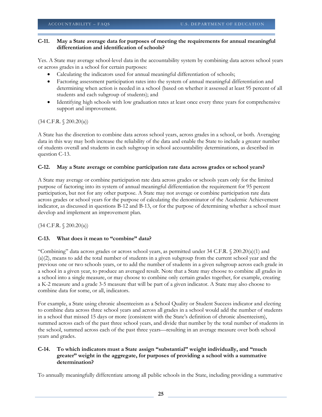# **C-11. May a State average data for purposes of meeting the requirements for annual meaningful differentiation and identification of schools?**

Yes. A State may average school-level data in the accountability system by combining data across school years or across grades in a school for certain purposes:

- Calculating the indicators used for annual meaningful differentiation of schools;
- Factoring assessment participation rates into the system of annual meaningful differentiation and determining when action is needed in a school (based on whether it assessed at least 95 percent of all students and each subgroup of students); and
- Identifying high schools with low graduation rates at least once every three years for comprehensive support and improvement.

(34 C.F.R. § 200.20(a))

A State has the discretion to combine data across school years, across grades in a school, or both. Averaging data in this way may both increase the reliability of the data and enable the State to include a greater number of students overall and students in each subgroup in school accountability determinations, as described in question C-13.

# **C-12. May a State average or combine participation rate data across grades or school years?**

A State may average or combine participation rate data across grades or schools years only for the limited purpose of factoring into its system of annual meaningful differentiation the requirement for 95 percent participation, but not for any other purpose. A State may not average or combine participation rate data across grades or school years for the purpose of calculating the denominator of the Academic Achievement indicator, as discussed in questions B-12 and B-13, or for the purpose of determining whether a school must develop and implement an improvement plan.

(34 C.F.R. § 200.20(a))

# **C-13. What does it mean to "combine" data?**

"Combining" data across grades or across school years, as permitted under 34 C.F.R. § 200.20(a)(1) and (a)(2), means to add the total number of students in a given subgroup from the current school year and the previous one or two schools years, or to add the number of students in a given subgroup across each grade in a school in a given year, to produce an averaged result. Note that a State may choose to combine all grades in a school into a single measure, or may choose to combine only certain grades together, for example, creating a K-2 measure and a grade 3-5 measure that will be part of a given indicator. A State may also choose to combine data for some, or all, indicators.

For example, a State using chronic absenteeism as a School Quality or Student Success indicator and electing to combine data across three school years and across all grades in a school would add the number of students in a school that missed 15 days or more (consistent with the State's definition of chronic absenteeism), summed across each of the past three school years, and divide that number by the total number of students in the school, summed across each of the past three years—resulting in an average measure over both school years and grades.

# **C-14. To which indicators must a State assign "substantial" weight individually, and "much greater" weight in the aggregate, for purposes of providing a school with a summative determination?**

To annually meaningfully differentiate among all public schools in the State, including providing a summative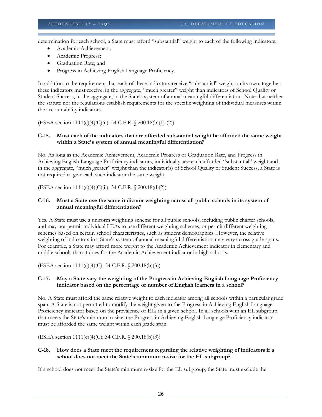determination for each school, a State must afford "substantial" weight to each of the following indicators:

- Academic Achievement;
- Academic Progress;
- Graduation Rate; and
- Progress in Achieving English Language Proficiency.

In addition to the requirement that each of these indicators receive "substantial" weight on its own, together, these indicators must receive, in the aggregate, "much greater" weight than indicators of School Quality or Student Success, in the aggregate, in the State's system of annual meaningful differentiation. Note that neither the statute nor the regulations establish requirements for the specific weighting of individual measures within the accountability indicators.

(ESEA section 1111(c)(4)(C)(ii); 34 C.F.R. § 200.18(b)(1)-(2))

#### **C-15. Must each of the indicators that are afforded substantial weight be afforded the same weight within a State's system of annual meaningful differentiation?**

No. As long as the Academic Achievement, Academic Progress or Graduation Rate, and Progress in Achieving English Language Proficiency indicators, individually, are each afforded "substantial" weight and, in the aggregate, "much greater" weight than the indicator(s) of School Quality or Student Success, a State is not required to give each such indicator the same weight.

(ESEA section 1111(c)(4)(C)(ii); 34 C.F.R. § 200.18(d)(2))

# **C-16. Must a State use the same indicator weighting across all public schools in its system of annual meaningful differentiation?**

Yes. A State must use a uniform weighting scheme for all public schools, including public charter schools, and may not permit individual LEAs to use different weighting schemes, or permit different weighting schemes based on certain school characteristics, such as student demographics. However, the relative weighting of indicators in a State's system of annual meaningful differentiation may vary across grade spans. For example, a State may afford more weight to the Academic Achievement indicator in elementary and middle schools than it does for the Academic Achievement indicator in high schools.

(ESEA section 1111(c)(4)(C); 34 C.F.R. § 200.18(b)(3))

#### **C-17. May a State vary the weighting of the Progress in Achieving English Language Proficiency indicator based on the percentage or number of English learners in a school?**

No. A State must afford the same relative weight to each indicator among all schools within a particular grade span. A State is not permitted to modify the weight given to the Progress in Achieving English Language Proficiency indicator based on the prevalence of ELs in a given school. In all schools with an EL subgroup that meets the State's minimum n-size, the Progress in Achieving English Language Proficiency indicator must be afforded the same weight within each grade span.

(ESEA section 1111(c)(4)(C); 34 C.F.R. § 200.18(b)(3)).

#### **C-18. How does a State meet the requirement regarding the relative weighting of indicators if a school does not meet the State's minimum n-size for the EL subgroup?**

If a school does not meet the State's minimum n-size for the EL subgroup, the State must exclude the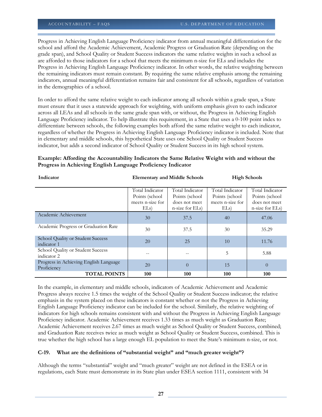Progress in Achieving English Language Proficiency indicator from annual meaningful differentiation for the school and afford the Academic Achievement, Academic Progress or Graduation Rate (depending on the grade span), and School Quality or Student Success indicators the same relative weights in such a school as are afforded to those indicators for a school that meets the minimum n-size for ELs and includes the Progress in Achieving English Language Proficiency indicator. In other words, the relative weighting between the remaining indicators must remain constant. By requiring the same relative emphasis among the remaining indicators, annual meaningful differentiation remains fair and consistent for all schools, regardless of variation in the demographics of a school.

In order to afford the same relative weight to each indicator among all schools within a grade span, a State must ensure that it uses a statewide approach for weighting, with uniform emphasis given to each indicator across all LEAs and all schools in the same grade span with, or without, the Progress in Achieving English Language Proficiency indicator. To help illustrate this requirement, in a State that uses a 0-100 point index to differentiate between schools, the following examples both afford the same relative weight to each indicator, regardless of whether the Progress in Achieving English Language Proficiency indicator is included. Note that in elementary and middle schools, this hypothetical State uses one School Quality or Student Success indicator, but adds a second indicator of School Quality or Student Success in its high school system.

# **Example: Affording the Accountability Indicators the Same Relative Weight with and without the Progress in Achieving English Language Proficiency Indicator**

| Indicator                                             |                                                               | <b>Elementary and Middle Schools</b>                                  | <b>High Schools</b>                                          |                                                                       |
|-------------------------------------------------------|---------------------------------------------------------------|-----------------------------------------------------------------------|--------------------------------------------------------------|-----------------------------------------------------------------------|
|                                                       | Total Indicator<br>Points (school<br>meets n-size for<br>ELs) | Total Indicator<br>Points (school<br>does not meet<br>n-size for ELs) | Total Indicator<br>Points (school<br>meets n-size for<br>ELs | Total Indicator<br>Points (school<br>does not meet<br>n-size for ELs) |
| Academic Achievement                                  | 30                                                            | 37.5                                                                  | 40                                                           | 47.06                                                                 |
| Academic Progress or Graduation Rate                  | 30                                                            | 37.5                                                                  | 30                                                           | 35.29                                                                 |
| School Quality or Student Success<br>indicator 1      | 20                                                            | 25                                                                    | 10                                                           | 11.76                                                                 |
| School Quality or Student Success<br>indicator 2      |                                                               |                                                                       | 5                                                            | 5.88                                                                  |
| Progress in Achieving English Language<br>Proficiency | 20                                                            | $\theta$                                                              | 15                                                           | $\overline{0}$                                                        |
| <b>TOTAL POINTS</b>                                   | 100                                                           | 100                                                                   | 100                                                          | 100                                                                   |

In the example, in elementary and middle schools, indicators of Academic Achievement and Academic Progress always receive 1.5 times the weight of the School Quality or Student Success indicator; the relative emphasis in the system placed on these indicators is constant whether or not the Progress in Achieving English Language Proficiency indicator can be included for the school. Similarly, the relative weighting of indicators for high schools remains consistent with and without the Progress in Achieving English Language Proficiency indicator. Academic Achievement receives 1.33 times as much weight as Graduation Rate; Academic Achievement receives 2.67 times as much weight as School Quality or Student Success, combined; and Graduation Rate receives twice as much weight as School Quality or Student Success, combined. This is true whether the high school has a large enough EL population to meet the State's minimum n-size, or not.

# **C-19. What are the definitions of "substantial weight" and "much greater weight"?**

Although the terms "substantial" weight and "much greater" weight are not defined in the ESEA or in regulations, each State must demonstrate in its State plan under ESEA section 1111, consistent with 34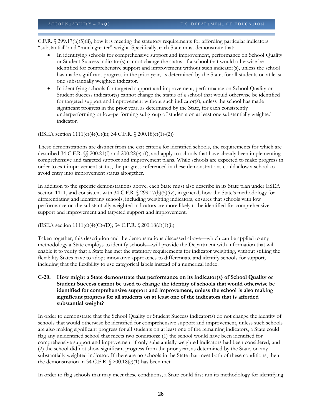C.F.R.  $\frac{299.17(b)(5)(ii)}{29.17(b)(5)(ii)}$ , how it is meeting the statutory requirements for affording particular indicators "substantial" and "much greater" weight. Specifically, each State must demonstrate that:

- In identifying schools for comprehensive support and improvement, performance on School Quality or Student Success indicator(s) cannot change the status of a school that would otherwise be identified for comprehensive support and improvement without such indicator(s), unless the school has made significant progress in the prior year, as determined by the State, for all students on at least one substantially weighted indicator.
- In identifying schools for targeted support and improvement, performance on School Quality or Student Success indicator(s) cannot change the status of a school that would otherwise be identified for targeted support and improvement without such indicator(s), unless the school has made significant progress in the prior year, as determined by the State, for each consistently underperforming or low-performing subgroup of students on at least one substantially weighted indicator.

(ESEA section 1111(c)(4)(C)(ii); 34 C.F.R. § 200.18(c)(1)-(2))

These demonstrations are distinct from the exit criteria for identified schools, the requirements for which are described 34 C.F.R. §§ 200.21(f) and 200.22(e)-(f), and apply to schools that have already been implementing comprehensive and targeted support and improvement plans. While schools are expected to make progress in order to exit improvement status, the progress referenced in these demonstrations could allow a school to avoid entry into improvement status altogether.

In addition to the specific demonstrations above, each State must also describe in its State plan under ESEA section 1111, and consistent with 34 C.F.R.  $\frac{299.17(b)}{5)(iv)}$ , in general, how the State's methodology for differentiating and identifying schools, including weighting indicators, ensures that schools with low performance on the substantially weighted indicators are more likely to be identified for comprehensive support and improvement and targeted support and improvement.

(ESEA section 1111(c)(4)(C)-(D); 34 C.F.R. § 200.18(d)(1)(ii)

Taken together, this description and the demonstrations discussed above—which can be applied to any methodology a State employs to identify schools—will provide the Department with information that will enable it to verify that a State has met the statutory requirements for indicator weighting, without stifling the flexibility States have to adopt innovative approaches to differentiate and identify schools for support, including that the flexibility to use categorical labels instead of a numerical index.

**C-20. How might a State demonstrate that performance on its indicator(s) of School Quality or Student Success cannot be used to change the identity of schools that would otherwise be identified for comprehensive support and improvement, unless the school is also making significant progress for all students on at least one of the indicators that is afforded substantial weight?** 

In order to demonstrate that the School Quality or Student Success indicator(s) do not change the identity of schools that would otherwise be identified for comprehensive support and improvement, unless such schools are also making significant progress for all students on at least one of the remaining indicators, a State could flag any unidentified school that meets two conditions: (1) the school would have been identified for comprehensive support and improvement if only substantially weighted indicators had been considered; and (2) the school did not show significant progress from the prior year, as determined by the State, on any substantially weighted indicator. If there are no schools in the State that meet both of these conditions, then the demonstration in 34 C.F.R.  $\frac{200.18(c)}{1}$  has been met.

In order to flag schools that may meet these conditions, a State could first run its methodology for identifying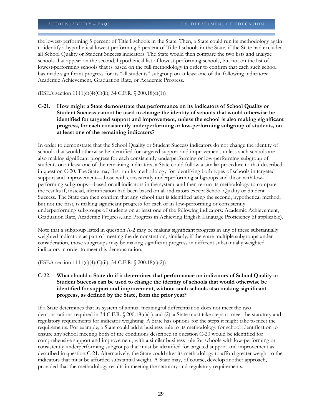the lowest-performing 5 percent of Title I schools in the State. Then, a State could run its methodology again to identify a hypothetical lowest-performing 5 percent of Title I schools in the State, if the State had excluded all School Quality or Student Success indicators. The State would then compare the two lists and analyze schools that appear on the second, hypothetical list of lowest-performing schools, but not on the list of lowest-performing schools that is based on the full methodology in order to confirm that each such school has made significant progress for its "all students" subgroup on at least one of the following indicators: Academic Achievement, Graduation Rate, or Academic Progress.

(ESEA section 1111(c)(4)(C)(ii); 34 C.F.R. § 200.18(c)(1))

**C-21. How might a State demonstrate that performance on its indicators of School Quality or Student Success cannot be used to change the identity of schools that would otherwise be identified for targeted support and improvement, unless the school is also making significant progress, for each consistently underperforming or low-performing subgroup of students, on at least one of the remaining indicators?** 

In order to demonstrate that the School Quality or Student Success indicators do not change the identity of schools that would otherwise be identified for targeted support and improvement, unless such schools are also making significant progress for each consistently underperforming or low-performing subgroup of students on at least one of the remaining indicators, a State could follow a similar procedure to that described in question C-20. The State may first run its methodology for identifying both types of schools in targeted support and improvement—those with consistently underperforming subgroups and those with lowperforming subgroups—based on all indicators in the system, and then re-run its methodology to compare the results if, instead, identification had been based on all indicators except School Quality or Student Success. The State can then confirm that any school that is identified using the second, hypothetical method, but not the first, is making significant progress for each of its low-performing or consistently underperforming subgroups of students on at least one of the following indicators: Academic Achievement, Graduation Rate, Academic Progress, and Progress in Achieving English Language Proficiency (if applicable).

Note that a subgroup listed in question A-2 may be making significant progress in any of these substantially weighted indicators as part of meeting the demonstration; similarly, if there are multiple subgroups under consideration, those subgroups may be making significant progress in different substantially weighted indicators in order to meet this demonstration.

(ESEA section  $1111(c)(4)(C)(ii)$ ; 34 C.F.R. § 200.18(c)(2))

**C-22. What should a State do if it determines that performance on indicators of School Quality or Student Success can be used to change the identity of schools that would otherwise be identified for support and improvement, without such schools also making significant progress, as defined by the State, from the prior year?**

If a State determines that its system of annual meaningful differentiation does not meet the two demonstrations required in 34 C.F.R. § 200.18(c)(1) and (2), a State must take steps to meet the statutory and regulatory requirements for indicator weighting. A State has options for the steps it might take to meet the requirements. For example, a State could add a business rule to its methodology for school identification to ensure any school meeting both of the conditions described in question C-20 would be identified for comprehensive support and improvement, with a similar business rule for schools with low-performing or consistently underperforming subgroups that must be identified for targeted support and improvement as described in question C-21. Alternatively, the State could alter its methodology to afford greater weight to the indicators that must be afforded substantial weight. A State may, of course, develop another approach, provided that the methodology results in meeting the statutory and regulatory requirements.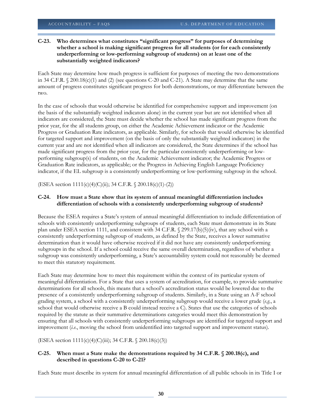# **C-23. Who determines what constitutes "significant progress" for purposes of determining whether a school is making significant progress for all students (or for each consistently underperforming or low-performing subgroup of students) on at least one of the substantially weighted indicators?**

Each State may determine how much progress is sufficient for purposes of meeting the two demonstrations in 34 C.F.R. § 200.18(c)(1) and (2) (see questions C-20 and C-21). A State may determine that the same amount of progress constitutes significant progress for both demonstrations, or may differentiate between the two.

In the case of schools that would otherwise be identified for comprehensive support and improvement (on the basis of the substantially weighted indicators alone) in the current year but are not identified when all indicators are considered, the State must decide whether the school has made significant progress from the prior year, for the all students group, on either the Academic Achievement indicator or the Academic Progress or Graduation Rate indicators, as applicable. Similarly, for schools that would otherwise be identified for targeted support and improvement (on the basis of only the substantially weighted indicators) in the current year and are not identified when all indicators are considered, the State determines if the school has made significant progress from the prior year, for the particular consistently underperforming or lowperforming subgroup(s) of students, on the Academic Achievement indicator; the Academic Progress or Graduation Rate indicators, as applicable; or the Progress in Achieving English Language Proficiency indicator, if the EL subgroup is a consistently underperforming or low-performing subgroup in the school.

(ESEA section 1111(c)(4)(C)(ii); 34 C.F.R. § 200.18(c)(1)-(2))

# **C-24. How must a State show that its system of annual meaningful differentiation includes differentiation of schools with a consistently underperforming subgroup of students?**

Because the ESEA requires a State's system of annual meaningful differentiation to include differentiation of schools with consistently underperforming subgroups of students, each State must demonstrate in its State plan under ESEA section 1111, and consistent with 34 C.F.R. § 299.17(b)(5)(iv), that any school with a consistently underperforming subgroup of students, as defined by the State, receives a lower summative determination than it would have otherwise received if it did not have any consistently underperforming subgroups in the school. If a school could receive the same overall determination, regardless of whether a subgroup was consistently underperforming, a State's accountability system could not reasonably be deemed to meet this statutory requirement.

Each State may determine how to meet this requirement within the context of its particular system of meaningful differentiation. For a State that uses a system of accreditation, for example, to provide summative determinations for all schools, this means that a school's accreditation status would be lowered due to the presence of a consistently underperforming subgroup of students. Similarly, in a State using an A-F school grading system, a school with a consistently underperforming subgroup would receive a lower grade (*e.g.*, a school that would otherwise receive a B could instead receive a C). States that use the categories of schools required by the statute as their summative determinations categories would meet this demonstration by ensuring that all schools with consistently underperforming subgroups are identified for targeted support and improvement (*i.e.*, moving the school from unidentified into targeted support and improvement status).

(ESEA section 1111(c)(4)(C)(iii); 34 C.F.R. § 200.18(c)(3))

# **C-25. When must a State make the demonstrations required by 34 C.F.R. § 200.18(c), and described in questions C-20 to C-21?**

Each State must describe its system for annual meaningful differentiation of all public schools in its Title I or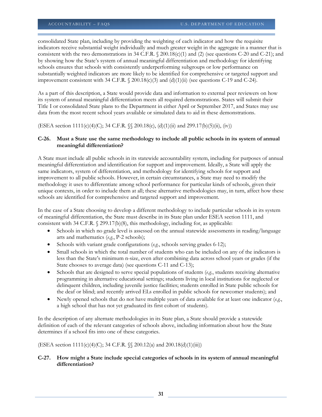consolidated State plan, including by providing the weighting of each indicator and how the requisite indicators receive substantial weight individually and much greater weight in the aggregate in a manner that is consistent with the two demonstrations in 34 C.F.R.  $\frac{8}{200.18(c)(1)}$  and (2) (see questions C-20 and C-21); and by showing how the State's system of annual meaningful differentiation and methodology for identifying schools ensures that schools with consistently underperforming subgroups or low performance on substantially weighted indicators are more likely to be identified for comprehensive or targeted support and improvement consistent with 34 C.F.R. § 200.18(c)(3) and (d)(1)(ii) (see questions C-19 and C-24).

As a part of this description, a State would provide data and information to external peer reviewers on how its system of annual meaningful differentiation meets all required demonstrations. States will submit their Title I or consolidated State plans to the Department in either April or September 2017, and States may use data from the most recent school years available or simulated data to aid in these demonstrations.

(ESEA section 1111(c)(4)(C); 34 C.F.R. §§ 200.18(c), (d)(1)(ii) and 299.17(b)(5)(ii), (iv))

#### **C-26. Must a State use the same methodology to include all public schools in its system of annual meaningful differentiation?**

A State must include all public schools in its statewide accountability system, including for purposes of annual meaningful differentiation and identification for support and improvement. Ideally, a State will apply the same indicators, system of differentiation, and methodology for identifying schools for support and improvement to all public schools. However, in certain circumstances, a State may need to modify the methodology it uses to differentiate among school performance for particular kinds of schools, given their unique contexts, in order to include them at all; these alternative methodologies may, in turn, affect how these schools are identified for comprehensive and targeted support and improvement.

In the case of a State choosing to develop a different methodology to include particular schools in its system of meaningful differentiation, the State must describe in its State plan under ESEA section 1111, and consistent with 34 C.F.R. § 299.17(b)(8), this methodology, including for, as applicable:

- Schools in which no grade level is assessed on the annual statewide assessments in reading/language arts and mathematics (*e.g.*, P-2 schools);
- Schools with variant grade configurations (*e.g.*, schools serving grades 6-12);
- Small schools in which the total number of students who can be included on any of the indicators is less than the State's minimum n-size, even after combining data across school years or grades (if the State chooses to average data) (see questions C-11 and C-13);
- Schools that are designed to serve special populations of students (*e.g.*, students receiving alternative programming in alternative educational settings; students living in local institutions for neglected or delinquent children, including juvenile justice facilities; students enrolled in State public schools for the deaf or blind; and recently arrived ELs enrolled in public schools for newcomer students); and
- Newly opened schools that do not have multiple years of data available for at least one indicator (*e.g.*, a high school that has not yet graduated its first cohort of students).

In the description of any alternate methodologies in its State plan, a State should provide a statewide definition of each of the relevant categories of schools above, including information about how the State determines if a school fits into one of these categories.

(ESEA section 1111(c)(4)(C); 34 C.F.R. §§ 200.12(a) and 200.18(d)(1)(iii))

# **C-27. How might a State include special categories of schools in its system of annual meaningful differentiation?**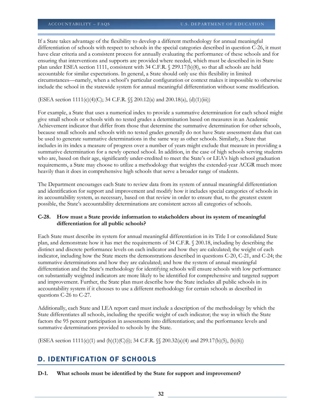If a State takes advantage of the flexibility to develop a different methodology for annual meaningful differentiation of schools with respect to schools in the special categories described in question C-26, it must have clear criteria and a consistent process for annually evaluating the performance of these schools and for ensuring that interventions and supports are provided where needed, which must be described in its State plan under ESEA section 1111, consistent with 34 C.F.R. § 299.17(b)(8), so that all schools are held accountable for similar expectations. In general, a State should only use this flexibility in limited circumstances—namely, when a school's particular configuration or context makes it impossible to otherwise include the school in the statewide system for annual meaningful differentiation without some modification.

(ESEA section 1111(c)(4)(C); 34 C.F.R. §§ 200.12(a) and 200.18(a), (d)(1)(iii))

For example, a State that uses a numerical index to provide a summative determination for each school might give small schools or schools with no tested grades a determination based on measures in an Academic Achievement indicator that differ from those that determine the summative determination for other schools, because small schools and schools with no tested grades generally do not have State assessment data that can be used to generate summative determinations in the same way as other schools. Similarly, a State that includes in its index a measure of progress over a number of years might exclude that measure in providing a summative determination for a newly opened school. In addition, in the case of high schools serving students who are, based on their age, significantly under-credited to meet the State's or LEA's high school graduation requirements, a State may choose to utilize a methodology that weights the extended-year ACGR much more heavily than it does in comprehensive high schools that serve a broader range of students.

The Department encourages each State to review data from its system of annual meaningful differentiation and identification for support and improvement and modify how it includes special categories of schools in its accountability system, as necessary, based on that review in order to ensure that, to the greatest extent possible, the State's accountability determinations are consistent across all categories of schools.

#### **C-28. How must a State provide information to stakeholders about its system of meaningful differentiation for all public schools?**

Each State must describe its system for annual meaningful differentiation in its Title I or consolidated State plan, and demonstrate how it has met the requirements of 34 C.F.R. § 200.18, including by describing the distinct and discrete performance levels on each indicator and how they are calculated; the weight of each indicator, including how the State meets the demonstrations described in questions C-20, C-21, and C-24; the summative determinations and how they are calculated; and how the system of annual meaningful differentiation and the State's methodology for identifying schools will ensure schools with low performance on substantially weighted indicators are more likely to be identified for comprehensive and targeted support and improvement. Further, the State plan must describe how the State includes all public schools in its accountability system if it chooses to use a different methodology for certain schools as described in questions C-26 to C-27.

Additionally, each State and LEA report card must include a description of the methodology by which the State differentiates all schools, including the specific weight of each indicator; the way in which the State factors the 95 percent participation in assessments into differentiation; and the performance levels and summative determinations provided to schools by the State.

(ESEA section  $1111(c)(1)$  and  $(h)(1)(C)(i)$ ; 34 C.F.R.  $\sqrt{200.32(a)(4)}$  and 299.17(b)(5), (b)(6))

# D. IDENTIFICATION OF SCHOOLS

**D-1. What schools must be identified by the State for support and improvement?**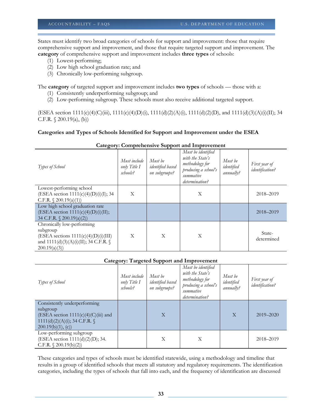States must identify two broad categories of schools for support and improvement: those that require comprehensive support and improvement, and those that require targeted support and improvement. The **category** of comprehensive support and improvement includes **three types** of schools:

- (1) Lowest-performing;
- (2) Low high school graduation rate; and
- (3) Chronically low-performing subgroup.

The **category** of targeted support and improvement includes **two types** of schools — those with a:

- (1) Consistently underperforming subgroup; and
- (2) Low-performing subgroup. These schools must also receive additional targeted support.

(ESEA section 1111(c)(4)(C)(iii), 1111(c)(4)(D)(i), 1111(d)(2)(A)(i), 1111(d)(2)(D), and 1111(d)(3)(A)(i)(II); 34 C.F.R. § 200.19(a), (b))

#### **Categories and Types of Schools Identified for Support and Improvement under the ESEA**

| Types of School                                                                                                                                | Must include<br>only Title I<br>schools? | Must be<br>identified based<br>on subgroups? | Must be identified<br>with the State's<br>methodology for<br>producing a school's<br>summative<br>determination? | Must be<br>identified<br>annually? | First year of<br><i>identification?</i> |
|------------------------------------------------------------------------------------------------------------------------------------------------|------------------------------------------|----------------------------------------------|------------------------------------------------------------------------------------------------------------------|------------------------------------|-----------------------------------------|
| Lowest-performing school<br>(ESEA section 1111(c)(4)(D)(i)(I); 34<br>C.F.R. $\{200.19(a)(1)\}$                                                 | Χ                                        |                                              | X                                                                                                                |                                    | 2018-2019                               |
| Low high school graduation rate<br>(ESEA section $1111(c)(4)(D)(i)(II);$<br>34 C.F.R. $\{200.19(a)(2)\}$                                       |                                          |                                              |                                                                                                                  |                                    | 2018-2019                               |
| Chronically low-performing<br>subgroup<br>$(ESEA$ sections $1111(c)(4)(D)(i)(III)$<br>and $1111(d)(3)(A)(i)(II)$ ; 34 C.F.R. §<br>200.19(a)(3) | X                                        | X                                            | X                                                                                                                |                                    | State-<br>determined                    |

#### **Category: Comprehensive Support and Improvement**

#### **Category: Targeted Support and Improvement**

| Types of School                                                                                                                                 | Must include<br>only Title I<br>schools? | Must be<br>identified based<br>on subgroups? | Must be identified<br>with the State's<br>methodology for<br>producing a school's<br>summative<br>determination? | Must be<br>identified<br>annually? | First year of<br><i>identification?</i> |
|-------------------------------------------------------------------------------------------------------------------------------------------------|------------------------------------------|----------------------------------------------|------------------------------------------------------------------------------------------------------------------|------------------------------------|-----------------------------------------|
| Consistently underperforming<br>subgroup<br>$(ESEA section 1111(c)(4)(C(iii))$ and<br>1111(d)(2)(A)(i); 34 C.F.R. $\{$<br>$200.19(b)(1)$ , (c)) |                                          | $\overline{X}$                               |                                                                                                                  | $\mathbf{X}$                       | 2019-2020                               |
| Low-performing subgroup<br>(ESEA section 1111(d)(2)(D); 34.<br>$C.F.R. \S 200.19(b)(2)$                                                         |                                          | Χ                                            | Χ                                                                                                                |                                    | 2018-2019                               |

These categories and types of schools must be identified statewide, using a methodology and timeline that results in a group of identified schools that meets all statutory and regulatory requirements. The identification categories, including the types of schools that fall into each, and the frequency of identification are discussed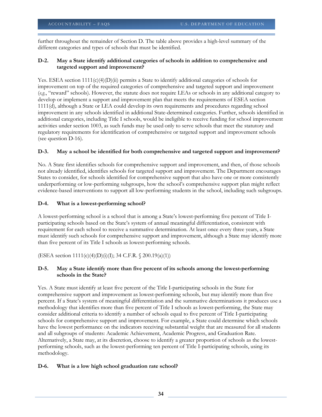further throughout the remainder of Section D. The table above provides a high-level summary of the different categories and types of schools that must be identified.

# **D-2. May a State identify additional categories of schools in addition to comprehensive and targeted support and improvement?**

Yes. ESEA section  $1111(c)(4)(D)(ii)$  permits a State to identify additional categories of schools for improvement on top of the required categories of comprehensive and targeted support and improvement (*e.g.*, "reward" schools). However, the statute does not require LEAs or schools in any additional category to develop or implement a support and improvement plan that meets the requirements of ESEA section 1111(d), although a State or LEA could develop its own requirements and procedures regarding school improvement in any schools identified in additional State-determined categories. Further, schools identified in additional categories, including Title I schools, would be ineligible to receive funding for school improvement activities under section 1003, as such funds may be used only to serve schools that meet the statutory and regulatory requirements for identification of comprehensive or targeted support and improvement schools (see question D-16).

# **D-3. May a school be identified for both comprehensive and targeted support and improvement?**

No. A State first identifies schools for comprehensive support and improvement, and then, of those schools not already identified, identifies schools for targeted support and improvement. The Department encourages States to consider, for schools identified for comprehensive support that also have one or more consistently underperforming or low-performing subgroups, how the school's comprehensive support plan might reflect evidence-based interventions to support all low-performing students in the school, including such subgroups.

# **D-4. What is a lowest-performing school?**

A lowest-performing school is a school that is among a State's lowest-performing five percent of Title Iparticipating schools based on the State's system of annual meaningful differentiation, consistent with requirement for each school to receive a summative determination. At least once every three years, a State must identify such schools for comprehensive support and improvement, although a State may identify more than five percent of its Title I schools as lowest-performing schools.

(ESEA section 1111(c)(4)(D)(i)(I); 34 C.F.R. § 200.19(a)(1))

# **D-5. May a State identify more than five percent of its schools among the lowest-performing schools in the State?**

Yes. A State must identify at least five percent of the Title I-participating schools in the State for comprehensive support and improvement as lowest-performing schools, but may identify more than five percent. If a State's system of meaningful differentiation and the summative determinations it produces use a methodology that identifies more than five percent of Title I schools as lowest-performing, the State may consider additional criteria to identify a number of schools equal to five percent of Title I-participating schools for comprehensive support and improvement. For example, a State could determine which schools have the lowest performance on the indicators receiving substantial weight that are measured for all students and all subgroups of students: Academic Achievement, Academic Progress, and Graduation Rate. Alternatively, a State may, at its discretion, choose to identify a greater proportion of schools as the lowestperforming schools, such as the lowest-performing ten percent of Title I-participating schools, using its methodology.

# **D-6. What is a low high school graduation rate school?**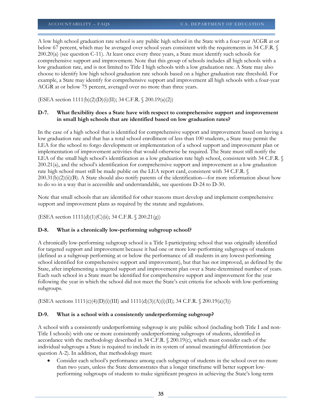A low high school graduation rate school is any public high school in the State with a four-year ACGR at or below 67 percent, which may be averaged over school years consistent with the requirements in 34 C.F.R. § 200.20(a) (see question C-11). At least once every three years, a State must identify such schools for comprehensive support and improvement. Note that this group of schools includes all high schools with a low graduation rate, and is not limited to Title I high schools with a low graduation rate. A State may also choose to identify low high school graduation rate schools based on a higher graduation rate threshold. For example, a State may identify for comprehensive support and improvement all high schools with a four-year ACGR at or below 75 percent, averaged over no more than three years.

(ESEA section 1111(b)(2)(D)(i)(II); 34 C.F.R. § 200.19(a)(2))

#### **D-7. What flexibility does a State have with respect to comprehensive support and improvement in small high schools that are identified based on low graduation rates?**

In the case of a high school that is identified for comprehensive support and improvement based on having a low graduation rate and that has a total school enrollment of less than 100 students, a State may permit the LEA for the school to forgo development or implementation of a school support and improvement plan or implementation of improvement activities that would otherwise be required. The State must still notify the LEA of the small high school's identification as a low graduation rate high school, consistent with 34 C.F.R. § 200.21(a), and the school's identification for comprehensive support and improvement as a low graduation rate high school must still be made public on the LEA report card, consistent with 34 C.F.R. §  $200.31(b)(2)(ii)(B)$ . A State should also notify parents of the identification—for more information about how to do so in a way that is accessible and understandable, see questions D-24 to D-30.

Note that small schools that are identified for other reasons must develop and implement comprehensive support and improvement plans as required by the statute and regulations.

(ESEA section 1111(d)(1)(C)(ii); 34 C.F.R. § 200.21(g))

#### **D-8. What is a chronically low-performing subgroup school?**

A chronically low-performing subgroup school is a Title I-participating school that was originally identified for targeted support and improvement because it had one or more low-performing subgroups of students (defined as a subgroup performing at or below the performance of all students in any lowest-performing school identified for comprehensive support and improvement), but that has not improved, as defined by the State, after implementing a targeted support and improvement plan over a State-determined number of years. Each such school in a State must be identified for comprehensive support and improvement for the year following the year in which the school did not meet the State's exit criteria for schools with low-performing subgroups.

(ESEA sections  $1111(c)(4)(D)(i)(III)$  and  $1111(d)(3)(A)(i)(II)$ ; 34 C.F.R. § 200.19(a)(3))

#### **D-9. What is a school with a consistently underperforming subgroup?**

A school with a consistently underperforming subgroup is any public school (including both Title I and non-Title I schools) with one or more consistently underperforming subgroups of students, identified in accordance with the methodology described in 34 C.F.R. § 200.19(c), which must consider each of the individual subgroups a State is required to include in its system of annual meaningful differentiation (see question A-2). In addition, that methodology must:

• Consider each school's performance among each subgroup of students in the school over no more than two years, unless the State demonstrates that a longer timeframe will better support lowperforming subgroups of students to make significant progress in achieving the State's long-term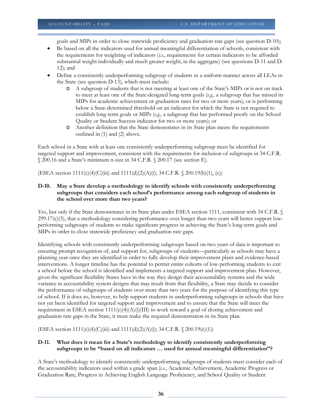goals and MIPs in order to close statewide proficiency and graduation rate gaps (see question D-10);

- Be based on all the indicators used for annual meaningful differentiation of schools, consistent with the requirements for weighting of indicators (*i.e.*, requirements for certain indicators to be afforded substantial weight individually and much greater weight, in the aggregate) (see questions D-11 and D-12); and
- Define a consistently underperforming subgroup of students in a uniform manner across all LEAs in the State (see question D-13), which must include:
	- o A subgroup of students that is not meeting at least one of the State's MIPs or is not on track to meet at least one of the State-designed long-term goals (*e.g.,* a subgroup that has missed its MIPs for academic achievement or graduation rates for two or more years), or is performing below a State-determined threshold on an indicator for which the State is not required to establish long-term goals or MIPs (*e.g.,* a subgroup that has performed poorly on the School Quality or Student Success indicator for two or more years); or
	- o Another definition that the State demonstrates in its State plan meets the requirements outlined in (1) and (2) above.

Each school in a State with at least one consistently underperforming subgroup must be identified for targeted support and improvement, consistent with the requirements for inclusion of subgroups in 34 C.F.R. § 200.16 and a State's minimum n-size in 34 C.F.R. § 200.17 (see section E).

(ESEA section 1111(c)(4)(C)(iii) and 1111(d)(2)(A)(i); 34 C.F.R. § 200.19(b)(1), (c))

#### **D-10. May a State develop a methodology to identify schools with consistently underperforming subgroups that considers each school's performance among each subgroup of students in the school over more than two years?**

Yes, but only if the State demonstrates in its State plan under ESEA section 1111, consistent with 34 C.F.R. § 299.17(c)(3), that a methodology considering performance over longer than two years will better support lowperforming subgroups of students to make significant progress in achieving the State's long-term goals and MIPs in order to close statewide proficiency and graduation rate gaps.

Identifying schools with consistently underperforming subgroups based on two years of data is important to ensuring prompt recognition of, and support for, subgroups of students—particularly as schools may have a planning year once they are identified in order to fully develop their improvement plans and evidence-based interventions. A longer timeline has the potential to permit entire cohorts of low-performing students to exit a school before the school is identified and implements a targeted support and improvement plan. However, given the significant flexibility States have in the way they design their accountability systems and the wide variance in accountability system designs that may result from that flexibility, a State may decide to consider the performance of subgroups of students over more than two years for the purpose of identifying this type of school. If it does so, however, to help support students in underperforming subgroups in schools that have not yet been identified for targeted support and improvement and to ensure that the State will meet the requirement in ESEA section  $1111(c)(4)(A)(i)(III)$  to work toward a goal of closing achievement and graduation rate gaps in the State, it must make the required demonstration in its State plan.

(ESEA section  $1111(c)(4)(C)(iii)$  and  $1111(d)(2)(A)(i)$ ; 34 C.F.R. § 200.19(c)(1))

#### **D-11. What does it mean for a State's methodology to identify consistently underperforming subgroups to be "based on all indicators … used for annual meaningful differentiation"?**

A State's methodology to identify consistently underperforming subgroups of students must consider each of the accountability indicators used within a grade span (*i.e.*, Academic Achievement, Academic Progress or Graduation Rate, Progress in Achieving English Language Proficiency, and School Quality or Student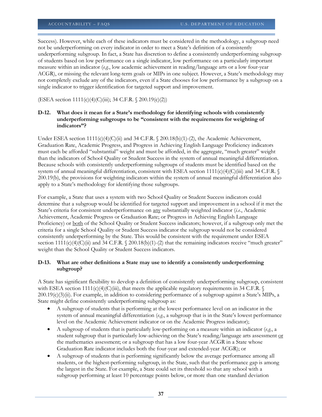Success). However, while each of these indicators must be considered in the methodology, a subgroup need not be underperforming on every indicator in order to meet a State's definition of a consistently underperforming subgroup. In fact, a State has discretion to define a consistently underperforming subgroup of students based on low performance on a single indicator, low performance on a particularly important measure within an indicator (*e.g.*, low academic achievement in reading/language arts or a low four-year ACGR), or missing the relevant long-term goals or MIPs in one subject. However, a State's methodology may not completely exclude any of the indicators, even if a State chooses for low performance by a subgroup on a single indicator to trigger identification for targeted support and improvement.

(ESEA section 1111(c)(4)(C)(iii); 34 C.F.R. § 200.19(c)(2))

#### **D-12. What does it mean for a State's methodology for identifying schools with consistently underperforming subgroups to be "consistent with the requirements for weighting of indicators"?**

Under ESEA section 1111(c)(4)(C)(ii) and 34 C.F.R. § 200.18(b)(1)-(2), the Academic Achievement, Graduation Rate, Academic Progress, and Progress in Achieving English Language Proficiency indicators must each be afforded "substantial" weight and must be afforded, in the aggregate, "much greater" weight than the indicators of School Quality or Student Success in the system of annual meaningful differentiation. Because schools with consistently underperforming subgroups of students must be identified based on the system of annual meaningful differentiation, consistent with ESEA section 1111(c)(4)(C)(iii) and 34 C.F.R. § 200.19(b), the provisions for weighting indicators within the system of annual meaningful differentiation also apply to a State's methodology for identifying those subgroups.

For example, a State that uses a system with two School Quality or Student Success indicators could determine that a subgroup would be identified for targeted support and improvement in a school if it met the State's criteria for consistent underperformance on any substantially weighted indicator (*i.e.*, Academic Achievement, Academic Progress or Graduation Rate; or Progress in Achieving English Language Proficiency) or both of the School Quality or Student Success indicators; however, if a subgroup only met the criteria for a single School Quality or Student Success indicator the subgroup would not be considered consistently underperforming by the State. This would be consistent with the requirement under ESEA section 1111(c)(4)(C)(ii) and 34 C.F.R. § 200.18(b)(1)-(2) that the remaining indicators receive "much greater" weight than the School Quality or Student Success indicators.

#### **D-13. What are other definitions a State may use to identify a consistently underperforming subgroup?**

A State has significant flexibility to develop a definition of consistently underperforming subgroup, consistent with ESEA section 1111(c)(4)(C)(iii), that meets the applicable regulatory requirements in 34 C.F.R. § 200.19(c)(3)(ii). For example, in addition to considering performance of a subgroup against a State's MIPs, a State might define consistently underperforming subgroup as:

- A subgroup of students that is performing at the lowest performance level on an indicator in the system of annual meaningful differentiation (*e.g*., a subgroup that is in the State's lowest performance level on the Academic Achievement indicator or on the Academic Progress indicator);
- A subgroup of students that is particularly low-performing on a measure within an indicator (*e.g.*, a student subgroup that is particularly low-achieving on the State's reading/language arts assessment or the mathematics assessment; or a subgroup that has a low four-year ACGR in a State whose Graduation Rate indicator includes both the four-year and extended-year ACGR); or
- A subgroup of students that is performing significantly below the average performance among all students, or the highest-performing subgroup, in the State, such that the performance gap is among the largest in the State. For example, a State could set its threshold so that any school with a subgroup performing at least 10 percentage points below, or more than one standard deviation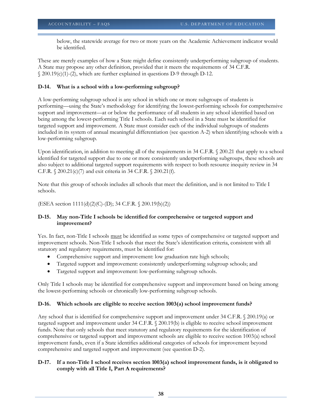below, the statewide average for two or more years on the Academic Achievement indicator would be identified.

These are merely examples of how a State might define consistently underperforming subgroup of students. A State may propose any other definition, provided that it meets the requirements of 34 C.F.R. § 200.19(c)(1)-(2), which are further explained in questions D-9 through D-12.

# **D-14. What is a school with a low-performing subgroup?**

A low-performing subgroup school is any school in which one or more subgroups of students is performing—using the State's methodology for identifying the lowest-performing schools for comprehensive support and improvement—at or below the performance of all students in any school identified based on being among the lowest-performing Title I schools. Each such school in a State must be identified for targeted support and improvement. A State must consider each of the individual subgroups of students included in its system of annual meaningful differentiation (see question A-2) when identifying schools with a low-performing subgroup.

Upon identification, in addition to meeting all of the requirements in 34 C.F.R. § 200.21 that apply to a school identified for targeted support due to one or more consistently underperforming subgroups, these schools are also subject to additional targeted support requirements with respect to both resource inequity review in 34 C.F.R. § 200.21(c)(7) and exit criteria in 34 C.F.R. § 200.21(f).

Note that this group of schools includes all schools that meet the definition, and is not limited to Title I schools.

(ESEA section 1111(d)(2)(C)-(D); 34 C.F.R. § 200.19(b)(2))

# **D-15. May non-Title I schools be identified for comprehensive or targeted support and improvement?**

Yes. In fact, non-Title I schools must be identified as some types of comprehensive or targeted support and improvement schools. Non-Title I schools that meet the State's identification criteria, consistent with all statutory and regulatory requirements, must be identified for:

- Comprehensive support and improvement: low graduation rate high schools;
- Targeted support and improvement: consistently underperforming subgroup schools; and
- Targeted support and improvement: low-performing subgroup schools.

Only Title I schools may be identified for comprehensive support and improvement based on being among the lowest-performing schools or chronically low-performing subgroup schools.

# **D-16. Which schools are eligible to receive section 1003(a) school improvement funds?**

Any school that is identified for comprehensive support and improvement under 34 C.F.R. § 200.19(a) or targeted support and improvement under 34 C.F.R. § 200.19(b) is eligible to receive school improvement funds. Note that only schools that meet statutory and regulatory requirements for the identification of comprehensive or targeted support and improvement schools are eligible to receive section 1003(a) school improvement funds, even if a State identifies additional categories of schools for improvement beyond comprehensive and targeted support and improvement (see question D-2).

# **D-17. If a non-Title I school receives section 1003(a) school improvement funds, is it obligated to comply with all Title I, Part A requirements?**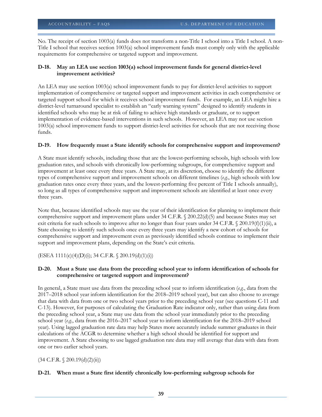No. The receipt of section 1003(a) funds does not transform a non-Title I school into a Title I school. A non-Title I school that receives section 1003(a) school improvement funds must comply only with the applicable requirements for comprehensive or targeted support and improvement.

# **D-18. May an LEA use section 1003(a) school improvement funds for general district-level improvement activities?**

An LEA may use section 1003(a) school improvement funds to pay for district-level activities to support implementation of comprehensive or targeted support and improvement activities in each comprehensive or targeted support school for which it receives school improvement funds. For example, an LEA might hire a district-level turnaround specialist to establish an "early warning system" designed to identify students in identified schools who may be at risk of failing to achieve high standards or graduate, or to support implementation of evidence-based interventions in such schools. However, an LEA may not use section 1003(a) school improvement funds to support district-level activities for schools that are not receiving those funds.

# **D-19. How frequently must a State identify schools for comprehensive support and improvement?**

A State must identify schools, including those that are the lowest-performing schools, high schools with low graduation rates, and schools with chronically low-performing subgroups, for comprehensive support and improvement at least once every three years. A State may, at its discretion, choose to identify the different types of comprehensive support and improvement schools on different timelines (*e.g.*, high schools with low graduation rates once every three years, and the lowest-performing five percent of Title I schools annually), so long as all types of comprehensive support and improvement schools are identified at least once every three years.

Note that, because identified schools may use the year of their identification for planning to implement their comprehensive support and improvement plans under 34 C.F.R. § 200.22(d)(5) and because States may set exit criteria for such schools to improve after no longer than four years under 34 C.F.R. § 200.19(f)(1)(ii), a State choosing to identify such schools once every three years may identify a new cohort of schools for comprehensive support and improvement even as previously identified schools continue to implement their support and improvement plans, depending on the State's exit criteria.

 $(ESEA 1111(c)(4)(D)(i); 34 C.F.R. \S 200.19(d)(1)(i))$ 

#### **D-20. Must a State use data from the preceding school year to inform identification of schools for comprehensive or targeted support and improvement?**

In general, a State must use data from the preceding school year to inform identification (*e.g.*, data from the 2017–2018 school year inform identification for the 2018–2019 school year), but can also choose to average that data with data from one or two school years prior to the preceding school year (see questions C-11 and C-13). However, for purposes of calculating the Graduation Rate indicator only, rather than using data from the preceding school year, a State may use data from the school year immediately prior to the preceding school year (*e.g.*, data from the 2016–2017 school year to inform identification for the 2018–2019 school year). Using lagged graduation rate data may help States more accurately include summer graduates in their calculations of the ACGR to determine whether a high school should be identified for support and improvement. A State choosing to use lagged graduation rate data may still average that data with data from one or two earlier school years.

 $(34 \text{ C.F.R. } \S 200.19(d)(2)(ii))$ 

# **D-21. When must a State first identify chronically low-performing subgroup schools for**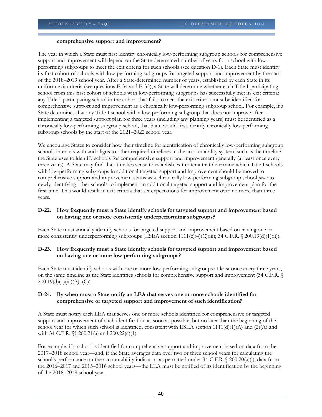#### **comprehensive support and improvement?**

The year in which a State must first identify chronically low-performing subgroup schools for comprehensive support and improvement will depend on the State-determined number of years for a school with lowperforming subgroups to meet the exit criteria for such schools (see question D-1). Each State must identify its first cohort of schools with low-performing subgroups for targeted support and improvement by the start of the 2018–2019 school year. After a State-determined number of years, established by each State in its uniform exit criteria (see questions E-34 and E-35), a State will determine whether each Title I-participating school from this first cohort of schools with low-performing subgroups has successfully met its exit criteria; any Title I-participating school in the cohort that fails to meet the exit criteria must be identified for comprehensive support and improvement as a chronically low-performing subgroup school. For example, if a State determines that any Title I school with a low-performing subgroup that does not improve after implementing a targeted support plan for three years (including any planning years) must be identified as a chronically low-performing subgroup school, that State would first identify chronically low-performing subgroup schools by the start of the 2021–2022 school year.

We encourage States to consider how their timeline for identification of chronically low-performing subgroup schools interacts with and aligns to other required timelines in the accountability system, such as the timeline the State uses to identify schools for comprehensive support and improvement generally (at least once every three years). A State may find that it makes sense to establish exit criteria that determine which Title I schools with low-performing subgroups in additional targeted support and improvement should be moved to comprehensive support and improvement status as a chronically low-performing subgroup school *prior* to newly identifying other schools to implement an additional targeted support and improvement plan for the first time. This would result in exit criteria that set expectations for improvement over no more than three years.

# **D-22. How frequently must a State identify schools for targeted support and improvement based on having one or more consistently underperforming subgroups?**

Each State must annually identify schools for targeted support and improvement based on having one or more consistently underperforming subgroups (ESEA section  $1111(c)(4)(C(iii); 34 C.F.R. \S 200.19(d)(1)(ii))$ .

# **D-23. How frequently must a State identify schools for targeted support and improvement based on having one or more low-performing subgroups?**

Each State must identify schools with one or more low-performing subgroups at least once every three years, on the same timeline as the State identifies schools for comprehensive support and improvement (34 C.F.R. §  $200.19(d)(1)(iii)(B), (C).$ 

# **D-24. By when must a State notify an LEA that serves one or more schools identified for comprehensive or targeted support and improvement of such identification?**

A State must notify each LEA that serves one or more schools identified for comprehensive or targeted support and improvement of such identification as soon as possible, but no later than the beginning of the school year for which such school is identified, consistent with ESEA section  $1111(d)(1)(A)$  and  $(2)(A)$  and with 34 C.F.R.  $\{\$ 200.21(a) \text{ and } 200.22(a)(1) \}$ .

For example, if a school is identified for comprehensive support and improvement based on data from the 2017–2018 school year—and, if the State averages data over two or three school years for calculating the school's performance on the accountability indicators as permitted under 34 C.F.R.  $\&$  200.20(a)(i), data from the 2016–2017 and 2015–2016 school years—the LEA must be notified of its identification by the beginning of the 2018–2019 school year.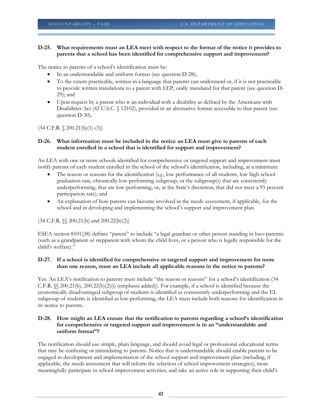#### **D-25. What requirements must an LEA meet with respect to the format of the notice it provides to parents that a school has been identified for comprehensive support and improvement?**

The notice to parents of a school's identification must be:

- In an understandable and uniform format (see question D-28);
- To the extent practicable, written in a language that parents can understand or, if it is not practicable to provide written translations to a parent with LEP, orally translated for that parent (see question D-29); and
- Upon request by a parent who is an individual with a disability as defined by the Americans with Disabilities Act (42 U.S.C. § 12102), provided in an alternative format accessible to that parent (see question D-30)**.**

(34 C.F.R. § 200.21(b)(1)-(3))

#### **D-26. What information must be included in the notice an LEA must give to parents of each student enrolled in a school that is identified for support and improvement?**

An LEA with one or more schools identified for comprehensive or targeted support and improvement must notify parents of each student enrolled in the school of the school's identification, including, at a minimum:

- The reason or reasons for the identification (*e.g.*, low performance of all students, low high school graduation rate, chronically low-performing subgroup, or the subgroup(s) that are consistently underperforming, that are low-performing, or, at the State's discretion, that did not meet a 95 percent participation rate); and
- An explanation of how parents can become involved in the needs assessment, if applicable, for the school and in developing and implementing the school's support and improvement plan.

(34 C.F.R. §§ 200.21(b) and 200.22(b)(2))

ESEA section 8101(38) defines "parent" to include "a legal guardian or other person standing in loco parentis (such as a grandparent or stepparent with whom the child lives, or a person who is legally responsible for the child's welfare)."

# **D-27. If a school is identified for comprehensive or targeted support and improvement for more than one reason, must an LEA include all applicable reasons in the notice to parents?**

Yes. An LEA's notification to parents must include "the reason or reasons" for a school's identification (34 C.F.R. §§ 200.21(b), 200.22(b)(2)(i) (emphasis added)). For example, if a school is identified because the economically disadvantaged subgroup of students is identified as consistently underperforming and the EL subgroup of students is identified as low-performing, the LEA must include both reasons for identification in its notice to parents.

#### **D-28. How might an LEA ensure that the notification to parents regarding a school's identification for comprehensive or targeted support and improvement is in an "understandable and uniform format"?**

The notification should use simple, plain language, and should avoid legal or professional educational terms that may be confusing or intimidating to parents. Notice that is understandable should enable parents to be engaged in development and implementation of the school support and improvement plan (including, if applicable, the needs assessment that will inform the selection of school improvement strategies), more meaningfully participate in school improvement activities, and take an active role in supporting their child's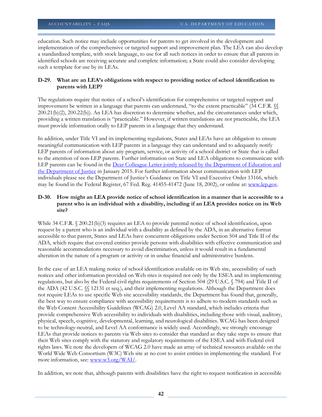education. Such notice may include opportunities for parents to get involved in the development and implementation of the comprehensive or targeted support and improvement plan. The LEA can also develop a standardized template, with stock language, to use for all such notices in order to ensure that all parents in identified schools are receiving accurate and complete information; a State could also consider developing such a template for use by its LEAs.

# **D-29. What are an LEA's obligations with respect to providing notice of school identification to parents with LEP?**

The regulations require that notice of a school's identification for comprehensive or targeted support and improvement be written in a language that parents can understand, "to the extent practicable" (34 C.F.R.  $\%$ 200.21(b)(2), 200.22(b)). An LEA has discretion to determine whether, and the circumstances under which, providing a written translation is "practicable." However, if written translations are not practicable, the LEA must provide information orally to LEP parents in a language that they understand.

In addition, under Title VI and its implementing regulations, States and LEAs have an obligation to ensure meaningful communication with LEP parents in a language they can understand and to adequately notify LEP parents of information about any program, service, or activity of a school district or State that is called to the attention of non-LEP parents. Further information on State and LEA obligations to communicate with LEP parents can be found in the Dear Colleague Letter jointly released by the Department of Education and [the Department of Justice](http://www2.ed.gov/about/offices/list/ocr/letters/colleague-el-201501.pdf) in January 2015. For further information about communication with LEP individuals please see the Department of Justice's Guidance on Title VI and Executive Order 13166, which may be found in the Federal Register, 67 Fed. Reg. 41455-41472 (June 18, 2002), or online at: [www.lep.gov.](https://share.ed.gov/teams/OPEPD/OPEPDFrontOffice/ESEAR/Shared%20Documents/ESSA%20Regulations/Accountability%20Plus/Accountability/Guidance/Second%20Round%20of%20Clearance/www.lep.gov)

# **D-30. How might an LEA provide notice of school identification in a manner that is accessible to a parent who is an individual with a disability, including if an LEA provides notice on its Web site?**

While 34 C.F.R.  $\&$  200.21(b)(3) requires an LEA to provide parental notice of school identification, upon request by a parent who is an individual with a disability as defined by the ADA, in an alternative format accessible to that parent, States and LEAs have concurrent obligations under Section 504 and Title II of the ADA, which require that covered entities provide persons with disabilities with effective communication and reasonable accommodations necessary to avoid discrimination, unless it would result in a fundamental alteration in the nature of a program or activity or in undue financial and administrative burdens.

In the case of an LEA making notice of school identification available on its Web site, accessibility of such notices and other information provided on Web sites is required not only by the ESEA and its implementing regulations, but also by the Federal civil rights requirements of Section 504 (29 U.S.C. § 794) and Title II of the ADA (42 U.S.C. §§ 12131 et seq.), and their implementing regulations. Although the Department does not require LEAs to use specific Web site accessibility standards, the Department has found that, generally, the best way to ensure compliance with accessibility requirements is to adhere to modern standards such as the Web Content Accessibility Guidelines (WCAG) 2.0, Level AA standard, which includes criteria that provide comprehensive Web accessibility to individuals with disabilities, including those with visual, auditory, physical, speech, cognitive, developmental, learning, and neurological disabilities. WCAG has been designed to be technology-neutral, and Level AA conformance is widely used. Accordingly, we strongly encourage LEAs that provide notices to parents via Web sites to consider that standard as they take steps to ensure that their Web sites comply with the statutory and regulatory requirements of the ESEA and with Federal civil rights laws. We note the developers of WCAG 2.0 have made an array of technical resources available on the World Wide Web Consortium (W3C) Web site at no cost to assist entities in implementing the standard. For more information, see: [www.w3.org/WAI/.](http://www.w3.org/WAI/)

In addition, we note that, although parents with disabilities have the right to request notification in accessible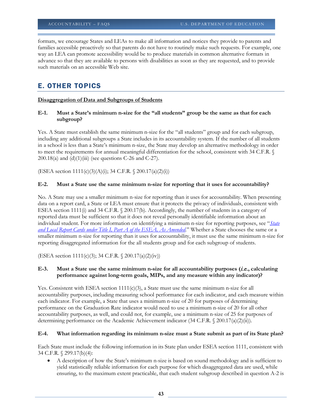formats, we encourage States and LEAs to make all information and notices they provide to parents and families accessible proactively so that parents do not have to routinely make such requests. For example, one way an LEA can promote accessibility would be to produce materials in common alternative formats in advance so that they are available to persons with disabilities as soon as they are requested, and to provide such materials on an accessible Web site.

# E. OTHER TOPICS

#### **Disaggregation of Data and Subgroups of Students**

**E-1. Must a State's minimum n-size for the "all students" group be the same as that for each subgroup?**

Yes. A State must establish the same minimum n-size for the "all students" group and for each subgroup, including any additional subgroups a State includes in its accountability system. If the number of all students in a school is less than a State's minimum n-size, the State may develop an alternative methodology in order to meet the requirements for annual meaningful differentiation for the school, consistent with 34 C.F.R. § 200.18(a) and  $(d)(1)(iii)$  (see questions C-26 and C-27).

(ESEA section 1111(c)(3)(A)(i); 34 C.F.R. § 200.17(a)(2)(i))

#### **E-2. Must a State use the same minimum n-size for reporting that it uses for accountability?**

No. A State may use a smaller minimum n-size for reporting than it uses for accountability. When presenting data on a report card, a State or LEA must ensure that it protects the privacy of individuals, consistent with ESEA section 1111(i) and 34 C.F.R. § 200.17(b). Accordingly, the number of students in a category of reported data must be sufficient so that it does not reveal personally identifiable information about an individual student. For more information on identifying a minimum n-size for reporting purposes, see "*[State](http://www2.ed.gov/policy/elsec/leg/essa/essastatereportcard.pdf)  [and Local Report Cards under Title I, Part A of the ESEA, As Amended](http://www2.ed.gov/policy/elsec/leg/essa/essastatereportcard.pdf)*." Whether a State chooses the same or a smaller minimum n-size for reporting than it uses for accountability, it must use the same minimum n-size for reporting disaggregated information for the all students group and for each subgroup of students.

(ESEA section 1111(c)(3); 34 C.F.R. § 200.17(a)(2)(iv))

#### **E-3. Must a State use the same minimum n-size for all accountability purposes (**i.e.**, calculating performance against long-term goals, MIPs, and any measure within any indicator)?**

Yes. Consistent with ESEA section  $1111(c)(3)$ , a State must use the same minimum n-size for all accountability purposes, including measuring school performance for each indicator, and each measure within each indicator. For example, a State that uses a minimum n-size of 20 for purposes of determining performance on the Graduation Rate indicator would need to use a minimum n-size of 20 for all other accountability purposes, as well, and could not, for example, use a minimum n-size of 25 for purposes of determining performance on the Academic Achievement indicator (34 C.F.R. § 200.17(a)(2)(ii)).

#### **E-4. What information regarding its minimum n-size must a State submit as part of its State plan?**

Each State must include the following information in its State plan under ESEA section 1111, consistent with 34 C.F.R. § 299.17(b)(4):

• A description of how the State's minimum n-size is based on sound methodology and is sufficient to yield statistically reliable information for each purpose for which disaggregated data are used, while ensuring, to the maximum extent practicable, that each student subgroup described in question A-2 is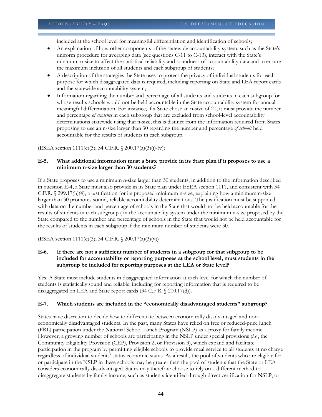included at the school level for meaningful differentiation and identification of schools;

- An explanation of how other components of the statewide accountability system, such as the State's uniform procedure for averaging data (see questions C-11 to C-13), interact with the State's minimum n-size to affect the statistical reliability and soundness of accountability data and to ensure the maximum inclusion of all students and each subgroup of students;
- A description of the strategies the State uses to protect the privacy of individual students for each purpose for which disaggregated data is required, including reporting on State and LEA report cards and the statewide accountability system;
- Information regarding the number and percentage of all students and students in each subgroup for whose results schools would not be held accountable in the State accountability system for annual meaningful differentiation. For instance, if a State chose an n-size of 20, it must provide the number and percentage *of students* in each subgroup that are excluded from school-level accountability determinations statewide using that n-size; this is distinct from the information required from States proposing to use an n-size larger than 30 regarding the number and percentage *of schools* held accountable for the results of students in each subgroup.

(ESEA section 1111(c)(3); 34 C.F.R. § 200.17(a)(3)(i)-(v))

#### **E-5. What additional information must a State provide in its State plan if it proposes to use a minimum n-size larger than 30 students?**

If a State proposes to use a minimum n-size larger than 30 students, in addition to the information described in question E-4, a State must also provide in its State plan under ESEA section 1111, and consistent with 34 C.F.R. § 299.17(b)(4), a justification for its proposed minimum n-size, explaining how a minimum n-size larger than 30 promotes sound, reliable accountability determinations. The justification must be supported with data on the number and percentage of schools in the State that would not be held accountable for the results of students in each subgroup ( in the accountability system under the minimum n-size proposed by the State compared to the number and percentage of schools in the State that would not be held accountable for the results of students in each subgroup if the minimum number of students were 30.

(ESEA section 1111(c)(3); 34 C.F.R. § 200.17(a)(3)(v))

#### **E-6. If there are not a sufficient number of students in a subgroup for that subgroup to be included for accountability or reporting purposes at the school level, must students in the subgroup be included for reporting purposes at the LEA or State level?**

Yes. A State must include students in disaggregated information at each level for which the number of students is statistically sound and reliable, including for reporting information that is required to be disaggregated on LEA and State report cards (34 C.F.R. § 200.17(d)).

# **E-7. Which students are included in the "economically disadvantaged students" subgroup?**

States have discretion to decide how to differentiate between economically disadvantaged and noneconomically disadvantaged students. In the past, many States have relied on free or reduced-price lunch (FRL) participation under the National School Lunch Program (NSLP) as a proxy for family income. However, a growing number of schools are participating in the NSLP under special provisions (*i.e.*, the Community Eligibility Provision (CEP), Provision 2, or Provision 3), which expand and facilitate participation in the program by permitting eligible schools to provide meal service to all students at no charge regardless of individual students' status economic status. As a result, the pool of students who are eligible for or participate in the NSLP in these schools may be greater than the pool of students that the State or LEA considers economically disadvantaged. States may therefore choose to rely on a different method to disaggregate students by family income, such as students identified through direct certification for NSLP, or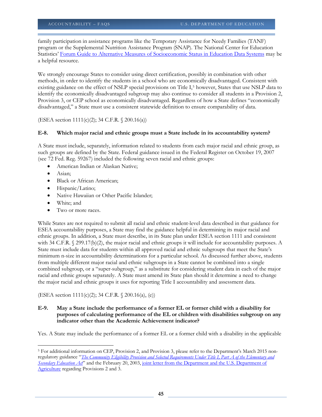family participation in assistance programs like the Temporary Assistance for Needy Families (TANF) program or the Supplemental Nutrition Assistance Program (SNAP). The National Center for Education Statistics' [Forum Guide to Alternative Measures of Socioeconomic Status in Education Data Systems](http://nces.ed.gov/forum/pub_2015158.asp) may be a helpful resource.

We strongly encourage States to consider using direct certification, possibly in combination with other methods, in order to identify the students in a school who are economically disadvantaged. Consistent with existing guidance on the effect of NSLP special provisions on Title I[,5](#page-44-0) however, States that use NSLP data to identify the economically disadvantaged subgroup may also continue to consider all students in a Provision 2, Provision 3, or CEP school as economically disadvantaged. Regardless of how a State defines "economically disadvantaged," a State must use a consistent statewide definition to ensure comparability of data.

(ESEA section 1111(c)(2); 34 C.F.R. § 200.16(a))

#### **E-8. Which major racial and ethnic groups must a State include in its accountability system?**

A State must include, separately, information related to students from each major racial and ethnic group, as such groups are defined by the State. Federal guidance issued in the Federal Register on October 19, 2007 (see 72 Fed. Reg. 59267) included the following seven racial and ethnic groups:

- American Indian or Alaskan Native;
- Asian;
- Black or African American;
- Hispanic/Latino;
- Native Hawaiian or Other Pacific Islander;
- White; and
- Two or more races.

While States are not required to submit all racial and ethnic student-level data described in that guidance for ESEA accountability purposes, a State may find the guidance helpful in determining its major racial and ethnic groups. In addition, a State must describe, in its State plan under ESEA section 1111 and consistent with 34 C.F.R. § 299.17(b)(2), the major racial and ethnic groups it will include for accountability purposes. A State must include data for students within all approved racial and ethnic subgroups that meet the State's minimum n-size in accountability determinations for a particular school. As discussed further above, students from multiple different major racial and ethnic subgroups in a State cannot be combined into a single combined subgroup, or a "super-subgroup," as a substitute for considering student data in each of the major racial and ethnic groups separately. A State must amend its State plan should it determine a need to change the major racial and ethnic groups it uses for reporting Title I accountability and assessment data.

(ESEA section 1111(c)(2); 34 C.F.R. § 200.16(a), (e))

# **E-9. May a State include the performance of a former EL or former child with a disability for purposes of calculating performance of the EL or children with disabilities subgroup on any indicator other than the Academic Achievement indicator?**

Yes. A State may include the performance of a former EL or a former child with a disability in the applicable

<span id="page-44-0"></span> $\overline{a}$ <sup>5</sup> For additional information on CEP, Provision 2, and Provision 3, please refer to the Department's March 2015 nonregulatory guidance "*[The Community Eligibility Provision and Selected Requirements Under Title I, Part A of the Elementary and](http://www2.ed.gov/programs/titleiparta/15-0011.doc)  [Secondary Education Act](http://www2.ed.gov/programs/titleiparta/15-0011.doc)*" and the February 20, 2003[, joint letter from the Department and the U.S. Department of](http://www2.ed.gov/programs/titleiparta/22003.html)  [Agriculture](http://www2.ed.gov/programs/titleiparta/22003.html) regarding Provisions 2 and 3.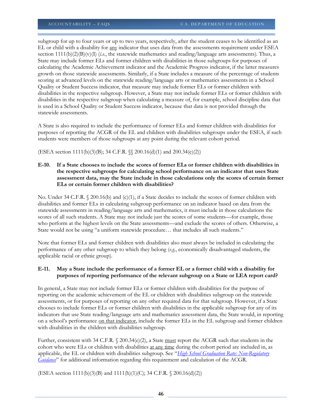subgroup for up to four years or up to two years, respectively, after the student ceases to be identified as an EL or child with a disability for any indicator that uses data from the assessments requirement under ESEA section  $1111(b)(2)(B)(v)(I)$  (*i.e.*, the statewide mathematics and reading/language arts assessments). Thus, a State may include former ELs and former children with disabilities in those subgroups for purposes of calculating the Academic Achievement indicator and the Academic Progress indicator, if the latter measures growth on those statewide assessments. Similarly, if a State includes a measure of the percentage of students scoring at advanced levels on the statewide reading/language arts or mathematics assessments in a School Quality or Student Success indicator, that measure may include former ELs or former children with disabilities in the respective subgroup. However, a State may not include former ELs or former children with disabilities in the respective subgroup when calculating a measure of, for example, school discipline data that is used in a School Quality or Student Success indicator, because that data is not provided through the statewide assessments.

A State is also required to include the performance of former ELs and former children with disabilities for purposes of reporting the ACGR of the EL and children with disabilities subgroups under the ESEA, if such students were members of those subgroups at any point during the relevant cohort period.

(ESEA section 1111(b)(3)(B); 34 C.F.R. §§ 200.16(d)(1) and 200.34(e)(2))

**E-10. If a State chooses to include the scores of former ELs or former children with disabilities in the respective subgroups for calculating school performance on an indicator that uses State assessment data, may the State include in those calculations only the scores of certain former ELs or certain former children with disabilities?**

No. Under 34 C.F.R. § 200.16(b) and (c)(1), if a State decides to include the scores of former children with disabilities and former ELs in calculating subgroup performance on an indicator based on data from the statewide assessments in reading/language arts and mathematics, it must include in those calculations the scores of all such students. A State may not include just the scores of some students—for example, those who perform at the highest levels on the State assessments—and exclude the scores of others. Otherwise, a State would not be using "a uniform statewide procedure… that includes all such students."

Note that former ELs and former children with disabilities also must always be included in calculating the performance of any other subgroup to which they belong (*e.g.*, economically disadvantaged students, the applicable racial or ethnic group).

# **E-11. May a State include the performance of a former EL or a former child with a disability for purposes of reporting performance of the relevant subgroup on a State or LEA report card?**

In general, a State may not include former ELs or former children with disabilities for the purpose of reporting on the academic achievement of the EL or children with disabilities subgroup on the statewide assessments, or for purposes of reporting on any other required data for that subgroup. However, if a State chooses to include former ELs or former children with disabilities in the applicable subgroup for any of its indicators that use State reading/language arts and mathematics assessment data, the State would, in reporting on a school's performance on that indicator, include the former ELs in the EL subgroup and former children with disabilities in the children with disabilities subgroup.

Further, consistent with 34 C.F.R.  $\Diamond$  200.34(e)(2), a State must report the ACGR such that students in the cohort who were ELs or children with disabilities at any time during the cohort period are included in, as applicable, the EL or children with disabilities subgroup. See "*[High School Graduation Rate: Non-Regulatory](http://www2.ed.gov/policy/elsec/leg/essa/essagradrateguidance.pdf)  [Guidance](http://www2.ed.gov/policy/elsec/leg/essa/essagradrateguidance.pdf)*" for additional information regarding this requirement and calculation of the ACGR.

(ESEA section 1111(b)(3)(B) and 1111(h)(1)(C); 34 C.F.R. § 200.16(d)(2))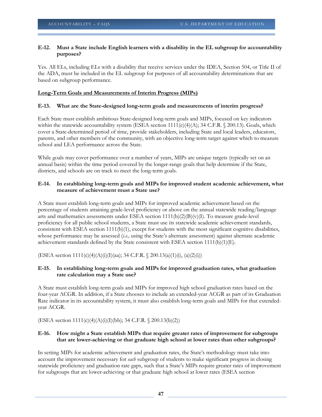#### **E-12. Must a State include English learners with a disability in the EL subgroup for accountability purposes?**

Yes. All ELs, including ELs with a disability that receive services under the IDEA, Section 504, or Title II of the ADA, must be included in the EL subgroup for purposes of all accountability determinations that are based on subgroup performance.

#### **Long-Term Goals and Measurements of Interim Progress (MIPs)**

#### **E-13. What are the State-designed long-term goals and measurements of interim progress?**

Each State must establish ambitious State-designed long-term goals and MIPs, focused on key indicators within the statewide accountability system (ESEA section  $1111(c)(4)(A)$ ; 34 C.F.R. § 200.13). Goals, which cover a State-determined period of time, provide stakeholders, including State and local leaders, educators, parents, and other members of the community, with an objective long-term target against which to measure school and LEA performance across the State.

While goals may cover performance over a number of years, MIPs are unique targets (typically set on an annual basis) within the time period covered by the longer-range goals that help determine if the State, districts, and schools are on track to meet the long-term goals.

#### **E-14. In establishing long-term goals and MIPs for improved student academic achievement, what measure of achievement must a State use?**

A State must establish long-term goals and MIPs for improved academic achievement based on the percentage of students attaining grade-level proficiency or above on the annual statewide reading/language arts and mathematics assessments under ESEA section 1111(b)(2)(B)(v)(I). To measure grade-level proficiency for all public school students, a State must use its statewide academic achievement standards, consistent with ESEA section 1111(b)(1), except for students with the most significant cognitive disabilities, whose performance may be assessed *(i.e.*, using the State's alternate assessment) against alternate academic achievement standards defined by the State consistent with ESEA section  $1111(b)(1)(E)$ .

(ESEA section 1111(c)(4)(A)(i)(I)(aa); 34 C.F.R. § 200.13(a)(1)(i), (a)(2)(i))

#### **E-15. In establishing long-term goals and MIPs for improved graduation rates, what graduation rate calculation may a State use?**

A State must establish long-term goals and MIPs for improved high school graduation rates based on the four-year ACGR. In addition, if a State chooses to include an extended-year ACGR as part of its Graduation Rate indicator in its accountability system, it must also establish long-term goals and MIPs for that extendedyear ACGR.

(ESEA section 1111(c)(4)(A)(i)(I)(bb); 34 C.F.R. § 200.13(b)(2))

#### **E-16. How might a State establish MIPs that require greater rates of improvement for subgroups that are lower-achieving or that graduate high school at lower rates than other subgroups?**

In setting MIPs for academic achievement and graduation rates, the State's methodology must take into account the improvement necessary for *each* subgroup of students to make significant progress in closing statewide proficiency and graduation rate gaps, such that a State's MIPs require greater rates of improvement for subgroups that are lower-achieving or that graduate high school at lower rates (ESEA section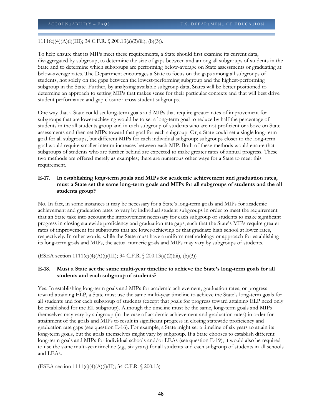$1111(c)(4)(A)(i)(III); 34 C.F.R. \S 200.13(a)(2)(iii), (b)(3)).$ 

To help ensure that its MIPs meet these requirements, a State should first examine its current data, disaggregated by subgroup, to determine the size of gaps between and among all subgroups of students in the State and to determine which subgroups are performing below-average on State assessments or graduating at below-average rates. The Department encourages a State to focus on the gaps among all subgroups of students, not solely on the gaps between the lowest-performing subgroup and the highest-performing subgroup in the State. Further, by analyzing available subgroup data, States will be better positioned to determine an approach to setting MIPs that makes sense for their particular contexts and that will best drive student performance and gap closure across student subgroups.

One way that a State could set long-term goals and MIPs that require greater rates of improvement for subgroups that are lower-achieving would be to set a long-term goal to reduce by half the percentage of students in the all students group and in each subgroup of students who are not proficient or above on State assessments and then set MIPs toward that goal for each subgroup. Or, a State could set a single long-term goal for all subgroups, but different MIPs for each individual subgroup; subgroups closer to the long-term goal would require smaller interim increases between each MIP. Both of these methods would ensure that subgroups of students who are further behind are expected to make greater rates of annual progress. These two methods are offered merely as examples; there are numerous other ways for a State to meet this requirement.

# **E-17. In establishing long-term goals and MIPs for academic achievement and graduation rates, must a State set the same long-term goals and MIPs for all subgroups of students and the all students group?**

No. In fact, in some instances it may be necessary for a State's long-term goals and MIPs for academic achievement and graduation rates to vary by individual student subgroups in order to meet the requirement that an State take into account the improvement necessary for each subgroup of students to make significant progress in closing statewide proficiency and graduation rate gaps, such that the State's MIPs require greater rates of improvement for subgroups that are lower-achieving or that graduate high school at lower rates, respectively. In other words, while the State must have a uniform methodology or approach for establishing its long-term goals and MIPs, the actual numeric goals and MIPs may vary by subgroups of students.

(ESEA section 1111(c)(4)(A)(i)(III); 34 C.F.R. § 200.13(a)(2)(iii), (b)(3))

#### **E-18. Must a State set the same multi-year timeline to achieve the State's long-term goals for all students and each subgroup of students?**

Yes. In establishing long-term goals and MIPs for academic achievement, graduation rates, or progress toward attaining ELP, a State must use the same multi-year timeline to achieve the State's long-term goals for all students and for each subgroup of students (except that goals for progress toward attaining ELP need only be established for the EL subgroup). Although the timeline must be the same, long-term goals and MIPs themselves may vary by subgroup (in the case of academic achievement and graduation rates) in order for attainment of the goals and MIPs to result in significant progress in closing statewide proficiency and graduation rate gaps (see question E-16). For example, a State might set a timeline of six years to attain its long-term goals, but the goals themselves might vary by subgroup. If a State chooses to establish different long-term goals and MIPs for individual schools and/or LEAs (see question E-19), it would also be required to use the same multi-year timeline (*e.g.*, six years) for all students and each subgroup of students in all schools and LEAs.

(ESEA section 1111(c)(4)(A)(i)(II); 34 C.F.R. § 200.13)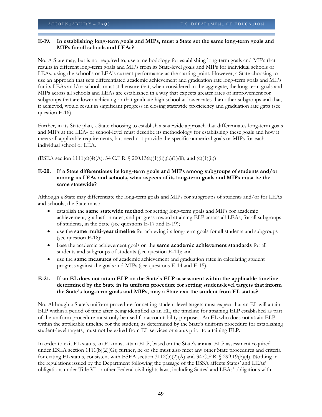# **E-19. In establishing long-term goals and MIPs, must a State set the same long-term goals and MIPs for all schools and LEAs?**

No. A State may, but is not required to, use a methodology for establishing long-term goals and MIPs that results in different long-term goals and MIPs from its State-level goals and MIPs for individual schools or LEAs, using the school's or LEA's current performance as the starting point. However, a State choosing to use an approach that sets differentiated academic achievement and graduation rate long-term goals and MIPs for its LEAs and/or schools must still ensure that, when considered in the aggregate, the long-term goals and MIPs across all schools and LEAs are established in a way that expects greater rates of improvement for subgroups that are lower-achieving or that graduate high school at lower rates than other subgroups and that, if achieved, would result in significant progress in closing statewide proficiency and graduation rate gaps (see question E-16).

Further, in its State plan, a State choosing to establish a statewide approach that differentiates long-term goals and MIPs at the LEA- or school-level must describe its methodology for establishing these goals and how it meets all applicable requirements, but need not provide the specific numerical goals or MIPs for each individual school or LEA.

(ESEA section  $1111(c)(4)(A)$ ; 34 C.F.R. § 200.13(a)(1)(ii),(b)(1)(ii), and (c)(1)(ii))

# **E-20. If a State differentiates its long-term goals and MIPs among subgroups of students and/or among its LEAs and schools, what aspects of its long-term goals and MIPs must be the same statewide?**

Although a State may differentiate the long-term goals and MIPs for subgroups of students and/or for LEAs and schools, the State must:

- establish the **same statewide method** for setting long-term goals and MIPs for academic achievement, graduation rates, and progress toward attaining ELP across all LEAs, for all subgroups of students, in the State (see questions E-17 and E-19);
- use the **same multi-year timeline** for achieving its long-term goals for all students and subgroups (see question E-18);
- base the academic achievement goals on the **same academic achievement standards** for all students and subgroups of students (see question E-14); and
- use the **same measures** of academic achievement and graduation rates in calculating student progress against the goals and MIPs (see questions E-14 and E-15).

# **E-21. If an EL does not attain ELP on the State's ELP assessment within the applicable timeline determined by the State in its uniform procedure for setting student-level targets that inform the State's long-term goals and MIPs, may a State exit the student from EL status?**

No. Although a State's uniform procedure for setting student-level targets must expect that an EL will attain ELP within a period of time after being identified as an EL, the timeline for attaining ELP established as part of the uniform procedure must only be used for accountability purposes. An EL who does not attain ELP within the applicable timeline for the student, as determined by the State's uniform procedure for establishing student-level targets, must not be exited from EL services or status prior to attaining ELP.

In order to exit EL status, an EL must attain ELP, based on the State's annual ELP assessment required under ESEA section  $1111(b)(2)(G)$ ; further, he or she must also meet any other State procedures and criteria for exiting EL status, consistent with ESEA section 3112(b)(2)(A) and 34 C.F.R. § 299.19(b)(4). Nothing in the regulations issued by the Department following the passage of the ESSA affects States' and LEAs' obligations under Title VI or other Federal civil rights laws, including States' and LEAs' obligations with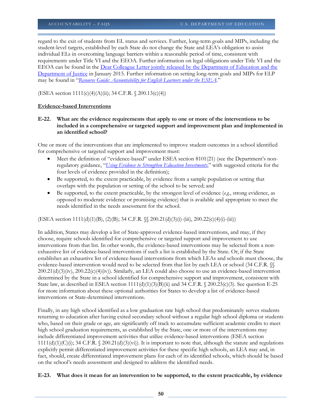regard to the exit of students from EL status and services. Further, long-term goals and MIPs, including the student-level targets, established by each State do not change the State and LEA's obligation to assist individual ELs in overcoming language barriers within a reasonable period of time, consistent with requirements under Title VI and the EEOA. Further information on legal obligations under Title VI and the EEOA can be found in the [Dear Colleague Letter jointly released by the](http://www2.ed.gov/about/offices/list/ocr/letters/colleague-el-201501.pdf) Department of Education and the [Department of Justice](http://www2.ed.gov/about/offices/list/ocr/letters/colleague-el-201501.pdf) in January 2015. Further information on setting long-term goals and MIPs for ELP may be found in "*[Resource Guide: Accountability for English Learners under the ESEA](http://www2.ed.gov/programs/sfgp/eseatitleiiiresourceaccountelsguide.docx)*."

(ESEA section 1111(c)(4)(A)(ii); 34 C.F.R. § 200.13(c)(4))

#### **Evidence-based Interventions**

# **E-22. What are the evidence requirements that apply to one or more of the interventions to be included in a comprehensive or targeted support and improvement plan and implemented in an identified school?**

One or more of the interventions that are implemented to improve student outcomes in a school identified for comprehensive or targeted support and improvement must:

- Meet the definition of "evidence-based" under ESEA section 8101(21) (see the Department's nonregulatory guidance, "*[Using Evidence to Strengthen Education Investments](http://www2.ed.gov/policy/elsec/leg/essa/guidanceuseseinvestment.pdf)*," with suggested criteria for the four levels of evidence provided in the definition);
- Be supported, to the extent practicable, by evidence from a sample population or setting that overlaps with the population or setting of the school to be served; and
- Be supported, to the extent practicable, by the strongest level of evidence (*e.g.*, strong evidence, as opposed to moderate evidence or promising evidence) that is available and appropriate to meet the needs identified in the needs assessment for the school.

(ESEA section 1111(d)(1)(B), (2)(B); 34 C.F.R. §§ 200.21(d)(3)(i)-(iii), 200.22(c)(4)(i)-(iii))

In addition, States may develop a list of State-approved evidence-based interventions, and may, if they choose, require schools identified for comprehensive or targeted support and improvement to use interventions from that list. In other words, the evidence-based interventions may be selected from a nonexhaustive list of evidence-based interventions if such a list is established by the State. Or, if the State establishes an exhaustive list of evidence-based interventions from which LEAs and schools must choose, the evidence-based intervention would need to be selected from that list by each LEA or school (34 C.F.R.  $\%$ 200.21(d)(3)(iv), 200.22(c)(4)(iv)). Similarly, an LEA could also choose to use an evidence-based intervention determined by the State in a school identified for comprehensive support and improvement, consistent with State law, as described in ESEA section  $1111(d)(1)(3)(B)(ii)$  and  $34 \tilde{C}$ .F.R. § 200.23(c)(3). See question E-25 for more information about these optional authorities for States to develop a list of evidence-based interventions or State-determined interventions.

Finally, in any high school identified as a low graduation rate high school that predominately serves students returning to education after having exited secondary school without a regular high school diploma or students who, based on their grade or age, are significantly off track to accumulate sufficient academic credits to meet high school graduation requirements, as established by the State, one or more of the interventions may include differentiated improvement activities that utilize evidence-based interventions (ESEA section  $1111(d)(1)(C)(i)$ ; 34 C.F.R. § 200.21(d)(3)(vi)). It is important to note that, although the statute and regulations explicitly permit differentiated improvement activities for these specific high schools, an LEA may and, in fact, should, create differentiated improvement plans for each of its identified schools, which should be based on the school's needs assessment and designed to address the identified needs.

**E-23. What does it mean for an intervention to be supported, to the extent practicable, by evidence**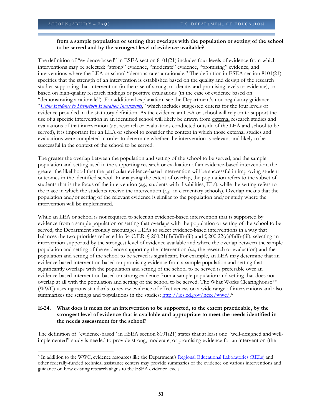$\overline{\phantom{a}}$ 

# **from a sample population or setting that overlaps with the population or setting of the school to be served and by the strongest level of evidence available?**

The definition of "evidence-based" in ESEA section 8101(21) includes four levels of evidence from which interventions may be selected: "strong" evidence, "moderate" evidence, "promising" evidence, and interventions where the LEA or school "demonstrates a rationale." The definition in ESEA section 8101(21) specifies that the strength of an intervention is established based on the quality and design of the research studies supporting that intervention (in the case of strong, moderate, and promising levels or evidence), or based on high-quality research findings or positive evaluations (in the case of evidence based on "demonstrating a rationale"). For additional explanation, see the Department's non-regulatory guidance, "*[Using Evidence to Strengthen Education Investments](http://www2.ed.gov/policy/elsec/leg/essa/guidanceuseseinvestment.pdf)*," which includes suggested criteria for the four levels of evidence provided in the statutory definition. As the evidence an LEA or school will rely on to support the use of a specific intervention in an identified school will likely be drawn from external research studies and evaluations of that intervention (*i.e.,* research or evaluations conducted outside of the LEA and school to be served), it is important for an LEA or school to consider the context in which those external studies and evaluations were completed in order to determine whether the intervention is relevant and likely to be successful in the context of the school to be served.

The greater the overlap between the population and setting of the school to be served, and the sample population and setting used in the supporting research or evaluation of an evidence-based intervention, the greater the likelihood that the particular evidence-based intervention will be successful in improving student outcomes in the identified school. In analyzing the extent of overlap, the population refers to the subset of students that is the focus of the intervention (*e.g.,* students with disabilities, ELs), while the setting refers to the place in which the students receive the intervention (*e.g.,* in elementary schools). Overlap means that the population and/or setting of the relevant evidence is similar to the population and/or study where the intervention will be implemented.

While an LEA or school is not required to select an evidence-based intervention that is supported by evidence from a sample population or setting that overlaps with the population or setting of the school to be served, the Department strongly encourages LEAs to select evidence-based interventions in a way that balances the two priorities reflected in 34 C.F.R. § 200.21(d)(3)(ii)-(iii) and § 200.22(c)(4)(ii)-(iii): selecting an intervention supported by the strongest level of evidence available and where the overlap between the sample population and setting of the evidence supporting the intervention (*i.e.,* the research or evaluation) and the population and setting of the school to be served is significant. For example, an LEA may determine that an evidence-based intervention based on promising evidence from a sample population and setting that significantly overlaps with the population and setting of the school to be served is preferable over an evidence-based intervention based on strong evidence from a sample population and setting that does not overlap at all with the population and setting of the school to be served. The What Works ClearinghouseTM (WWC) uses rigorous standards to review evidence of effectiveness on a wide range of interventions and also summarizes the settings and populations in the studies[: http://ies.ed.gov/ncee/wwc/.](http://ies.ed.gov/ncee/wwc/)<sup>[6](#page-50-0)</sup>

#### **E-24. What does it mean for an intervention to be supported, to the extent practicable, by the strongest level of evidence that is available and appropriate to meet the needs identified in the needs assessment for the school?**

The definition of "evidence-based" in ESEA section 8101(21) states that at least one "well-designed and wellimplemented" study is needed to provide strong, moderate, or promising evidence for an intervention (the

<span id="page-50-0"></span><sup>6</sup> In addition to the WWC, evidence resources like the Department's [Regional Educational Laboratories \(RELs\)](http://www.ies.ed.gov/ncee/edlabs/) and other federally-funded technical assistance centers may provide summaries of the evidence on various interventions and guidance on how existing research aligns to the ESEA evidence levels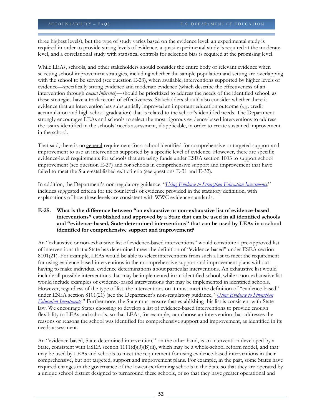three highest levels), but the type of study varies based on the evidence level: an experimental study is required in order to provide strong levels of evidence, a quasi-experimental study is required at the moderate level, and a correlational study with statistical controls for selection bias is required at the promising level.

While LEAs, schools, and other stakeholders should consider the entire body of relevant evidence when selecting school improvement strategies, including whether the sample population and setting are overlapping with the school to be served (see question E-23), when available, interventions supported by higher levels of evidence—specifically strong evidence and moderate evidence (which describe the effectiveness of an intervention through *causal inference*)—should be prioritized to address the needs of the identified school, as these strategies have a track record of effectiveness. Stakeholders should also consider whether there is evidence that an intervention has substantially improved an important education outcome (*e.g.,* credit accumulation and high school graduation) that is related to the school's identified needs. The Department strongly encourages LEAs and schools to select the most rigorous evidence-based interventions to address the issues identified in the schools' needs assessment, if applicable, in order to create sustained improvement in the school.

That said, there is no general requirement for a school identified for comprehensive or targeted support and improvement to use an intervention supported by a specific level of evidence. However, there are specific evidence-level requirements for schools that are using funds under ESEA section 1003 to support school improvement (see question E-27) and for schools in comprehensive support and improvement that have failed to meet the State-established exit criteria (see questions E-31 and E-32).

In addition, the Department's non-regulatory guidance, "*[Using Evidence to Strengthen Education Investments](http://www2.ed.gov/policy/elsec/leg/essa/guidanceuseseinvestment.pdf)*," includes suggested criteria for the four levels of evidence provided in the statutory definition, with explanations of how these levels are consistent with WWC evidence standards.

# **E-25. What is the difference between "an exhaustive or non-exhaustive list of evidence-based interventions" established and approved by a State that can be used in all identified schools and "evidence-based, State-determined interventions" that can be used by LEAs in a school identified for comprehensive support and improvement?**

An "exhaustive or non-exhaustive list of evidence-based interventions" would constitute a pre-approved list of interventions that a State has determined meet the definition of "evidence-based" under ESEA section 8101(21). For example, LEAs would be able to select interventions from such a list to meet the requirement for using evidence-based interventions in their comprehensive support and improvement plans without having to make individual evidence determinations about particular interventions. An exhaustive list would include all possible interventions that may be implemented in an identified school, while a non-exhaustive list would include examples of evidence-based interventions that may be implemented in identified schools. However, regardless of the type of list, the interventions on it must meet the definition of "evidence-based" under ESEA section 8101(21) (see the Department's non-regulatory guidance, "*[Using Evidence to Strengthen](http://www2.ed.gov/policy/elsec/leg/essa/guidanceuseseinvestment.pdf)  [Education Investments](http://www2.ed.gov/policy/elsec/leg/essa/guidanceuseseinvestment.pdf)*." Furthermore, the State must ensure that establishing this list is consistent with State law. We encourage States choosing to develop a list of evidence-based interventions to provide enough flexibility to LEAs and schools, so that LEAs, for example, can choose an intervention that addresses the reasons or reasons the school was identified for comprehensive support and improvement, as identified in its needs assessment.

An "evidence-based, State-determined intervention," on the other hand, is an intervention developed by a State, consistent with ESEA section 1111(d)(3)(B)(ii), which may be a whole-school reform model, and that may be used by LEAs and schools to meet the requirement for using evidence-based interventions in their comprehensive, but not targeted, support and improvement plans. For example, in the past, some States have required changes in the governance of the lowest-performing schools in the State so that they are operated by a unique school district designed to turnaround these schools, or so that they have greater operational and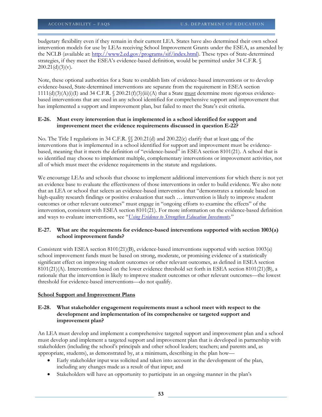budgetary flexibility even if they remain in their current LEA. States have also determined their own school intervention models for use by LEAs receiving School Improvement Grants under the ESEA, as amended by the NCLB (available at: [http://www2.ed.gov/programs/sif/index.html\)](http://www2.ed.gov/programs/sif/index.html). These types of State-determined strategies, if they meet the ESEA's evidence-based definition, would be permitted under 34 C.F.R. §  $200.21(d)(3)(v)$ .

Note, these optional authorities for a State to establish lists of evidence-based interventions or to develop evidence-based, State-determined interventions are separate from the requirement in ESEA section  $1111(d)(3)(A)(i)(I)$  and 34 C.F.R. § 200.21(f)(3)(iii)(A) that a State must determine more rigorous evidencebased interventions that are used in any school identified for comprehensive support and improvement that has implemented a support and improvement plan, but failed to meet the State's exit criteria.

#### **E-26. Must every intervention that is implemented in a school identified for support and improvement meet the evidence requirements discussed in question E-22?**

No. The Title I regulations in 34 C.F.R. §§ 200.21(d) and 200.22(c) clarify that at least <u>one</u> of the interventions that is implemented in a school identified for support and improvement must be evidencebased, meaning that it meets the definition of "evidence-based" in ESEA section 8101(21). A school that is so identified may choose to implement multiple, complementary interventions or improvement activities, not all of which must meet the evidence requirements in the statute and regulations.

We encourage LEAs and schools that choose to implement additional interventions for which there is not yet an evidence base to evaluate the effectiveness of those interventions in order to build evidence. We also note that an LEA or school that selects an evidence-based intervention that "demonstrates a rationale based on high-quality research findings or positive evaluation that such … intervention is likely to improve student outcomes or other relevant outcomes" must engage in "ongoing efforts to examine the effects" of the intervention, consistent with ESEA section 8101(21). For more information on the evidence-based definition and ways to evaluate interventions, see "*[Using Evidence to Strengthen Education Investments](http://www2.ed.gov/policy/elsec/leg/essa/guidanceuseseinvestment.pdf)*."

# **E-27. What are the requirements for evidence-based interventions supported with section 1003(a) school improvement funds?**

Consistent with ESEA section 8101(21)(B), evidence-based interventions supported with section 1003(a) school improvement funds must be based on strong, moderate, or promising evidence of a statistically significant effect on improving student outcomes or other relevant outcomes, as defined in ESEA section 8101(21)(A). Interventions based on the lower evidence threshold set forth in ESEA section 8101(21)(B), a rationale that the intervention is likely to improve student outcomes or other relevant outcomes—the lowest threshold for evidence-based interventions—do not qualify.

# **School Support and Improvement Plans**

# **E-28. What stakeholder engagement requirements must a school meet with respect to the development and implementation of its comprehensive or targeted support and improvement plan?**

An LEA must develop and implement a comprehensive targeted support and improvement plan and a school must develop and implement a targeted support and improvement plan that is developed in partnership with stakeholders (including the school's principals and other school leaders; teachers; and parents and, as appropriate, students), as demonstrated by, at a minimum, describing in the plan how—

- Early stakeholder input was solicited and taken into account in the development of the plan, including any changes made as a result of that input; and
- Stakeholders will have an opportunity to participate in an ongoing manner in the plan's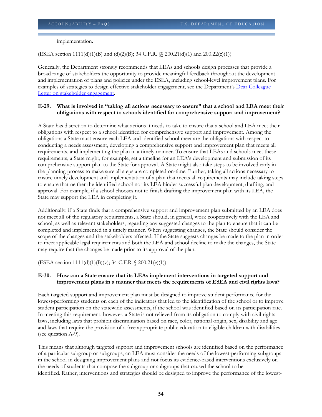implementation**.**

(ESEA section  $1111(d)(1)(B)$  and  $(d)(2)(B)$ ; 34 C.F.R.  $\mathcal{S}$  200.21(d)(1) and 200.22(c)(1))

Generally, the Department strongly recommends that LEAs and schools design processes that provide a broad range of stakeholders the opportunity to provide meaningful feedback throughout the development and implementation of plans and policies under the ESEA, including school-level improvement plans. For examples of strategies to design effective stakeholder engagement, see the Department's [Dear Colleague](http://www2.ed.gov/policy/elsec/guid/secletter/160622.html)  [Letter on stakeholder engagement.](http://www2.ed.gov/policy/elsec/guid/secletter/160622.html)

#### **E-29. What is involved in "taking all actions necessary to ensure" that a school and LEA meet their obligations with respect to schools identified for comprehensive support and improvement?**

A State has discretion to determine what actions it needs to take to ensure that a school and LEA meet their obligations with respect to a school identified for comprehensive support and improvement. Among the obligations a State must ensure each LEA and identified school meet are the obligations with respect to conducting a needs assessment, developing a comprehensive support and improvement plan that meets all requirements, and implementing the plan in a timely manner. To ensure that LEAs and schools meet these requirements, a State might, for example, set a timeline for an LEA's development and submission of its comprehensive support plan to the State for approval. A State might also take steps to be involved early in the planning process to make sure all steps are completed on-time. Further, taking all actions necessary to ensure timely development and implementation of a plan that meets all requirements may include taking steps to ensure that neither the identified school nor its LEA hinder successful plan development, drafting, and approval. For example, if a school chooses not to finish drafting the improvement plan with its LEA, the State may support the LEA in completing it.

Additionally, if a State finds that a comprehensive support and improvement plan submitted by an LEA does not meet all of the regulatory requirements, a State should, in general, work cooperatively with the LEA and school, as well as relevant stakeholders, regarding any suggested changes to the plan to ensure that it can be completed and implemented in a timely manner. When suggesting changes, the State should consider the scope of the changes and the stakeholders affected. If the State suggests changes be made to the plan in order to meet applicable legal requirements and both the LEA and school decline to make the changes, the State may require that the changes be made prior to its approval of the plan.

(ESEA section  $1111(d)(1)(B)(v)$ ; 34 C.F.R. § 200.21(e)(1))

#### **E-30. How can a State ensure that its LEAs implement interventions in targeted support and improvement plans in a manner that meets the requirements of ESEA and civil rights laws?**

Each targeted support and improvement plan must be designed to improve student performance for the lowest-performing students on each of the indicators that led to the identification of the school or to improve student participation on the statewide assessments, if the school was identified based on its participation rate. In meeting this requirement, however, a State is not relieved from its obligation to comply with civil rights laws, including laws that prohibit discrimination based on race, color, national origin, sex, disability and age and laws that require the provision of a free appropriate public education to eligible children with disabilities (see question A-9).

This means that although targeted support and improvement schools are identified based on the performance of a particular subgroup or subgroups, an LEA must consider the needs of the lowest-performing subgroups in the school in designing improvement plans and not focus its evidence-based interventions exclusively on the needs of students that compose the subgroup or subgroups that caused the school to be identified. Rather, interventions and strategies should be designed to improve the performance of the lowest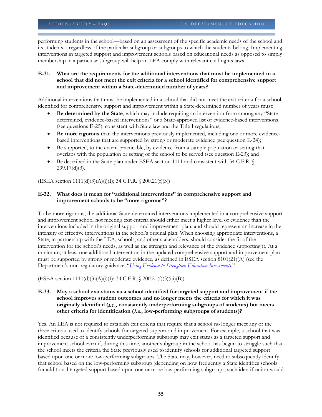performing students in the school—based on an assessment of the specific academic needs of the school and its students—regardless of the particular subgroup or subgroups to which the students belong. Implementing interventions in targeted support and improvement schools based on educational needs as opposed to simply membership in a particular subgroup will help an LEA comply with relevant civil rights laws.

#### **E-31. What are the requirements for the additional interventions that must be implemented in a school that did not meet the exit criteria for a school identified for comprehensive support and improvement within a State-determined number of years?**

Additional interventions that must be implemented in a school that did not meet the exit criteria for a school identified for comprehensive support and improvement within a State-determined number of years must:

- **Be determined by the State**, which may include requiring an intervention from among any "Statedetermined, evidence-based interventions" or a State-approved list of evidence-based interventions (see questions E-25), consistent with State law and the Title I regulations;
- **Be more rigorous** than the interventions previously implemented, including one or more evidencebased interventions that are supported by strong or moderate evidence (see question E-24);
- Be supported, to the extent practicable, by evidence from a sample population or setting that overlaps with the population or setting of the school to be served (see question E-23); and
- Be described in the State plan under ESEA section 1111 and consistent with 34 C.F.R. 299.17(d)(3).

(ESEA section 1111(d)(3)(A)(i)(I); 34 C.F.R. § 200.21(f)(3))

#### **E-32. What does it mean for "additional interventions" in comprehensive support and improvement schools to be "more rigorous"?**

To be more rigorous, the additional State-determined interventions implemented in a comprehensive support and improvement school not meeting exit criteria should either meet a higher level of evidence than the interventions included in the original support and improvement plan, and should represent an increase in the intensity of effective interventions in the school's original plan. When choosing appropriate interventions, a State, in partnership with the LEA, schools, and other stakeholders, should consider the fit of the intervention for the school's needs, as well as the strength and relevance of the evidence supporting it. At a minimum, at least one additional intervention in the updated comprehensive support and improvement plan must be supported by strong or moderate evidence, as defined in ESEA section 8101(21)(A) (see the Department's non-regulatory guidance, "*[Using Evidence to Strengthen Education Investments](http://www2.ed.gov/policy/elsec/leg/essa/guidanceuseseinvestment.pdf)*."

(ESEA section 1111(d)(3)(A)(i)(I); 34 C.F.R. § 200.21(f)(3)(iii)(B))

# **E-33. May a school exit status as a school identified for targeted support and improvement if the school improves student outcomes and no longer meets the criteria for which it was originally identified (**i.e., **consistently underperforming subgroups of students) but meets other criteria for identification (**i.e., **low-performing subgroups of students)?**

Yes. An LEA is not required to establish exit criteria that require that a school no longer meet any of the three criteria used to identify schools for targeted support and improvement. For example, a school that was identified because of a consistently underperforming subgroup may exit status as a targeted support and improvement school even if, during this time, another subgroup in the school has begun to struggle such that the school meets the criteria the State previously used to identify schools for additional targeted support based upon one or more low-performing subgroups. The State may, however, need to subsequently identify that school based on the low-performing subgroup (depending on how frequently a State identifies schools for additional targeted support based upon one or more low-performing subgroups; such identification would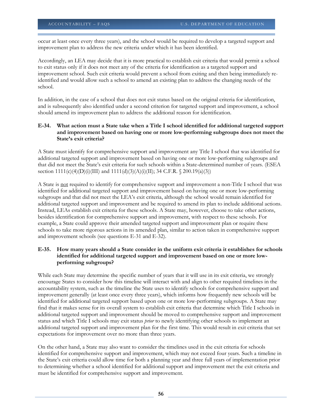occur at least once every three years), and the school would be required to develop a targeted support and improvement plan to address the new criteria under which it has been identified.

Accordingly, an LEA may decide that it is more practical to establish exit criteria that would permit a school to exit status only if it does not meet any of the criteria for identification as a targeted support and improvement school. Such exit criteria would prevent a school from exiting and then being immediately reidentified and would allow such a school to amend an existing plan to address the changing needs of the school.

In addition, in the case of a school that does not exit status based on the original criteria for identification, and is subsequently also identified under a second criterion for targeted support and improvement, a school should amend its improvement plan to address the additional reason for identification.

#### **E-34. What action must a State take when a Title I school identified for additional targeted support and improvement based on having one or more low-performing subgroups does not meet the State's exit criteria?**

A State must identify for comprehensive support and improvement any Title I school that was identified for additional targeted support and improvement based on having one or more low-performing subgroups and that did not meet the State's exit criteria for such schools within a State-determined number of years. (ESEA section  $1111(c)(4)(D)(i)(III)$  and  $1111(d)(3)(A)(i)(II)$ ; 34 C.F.R. § 200.19(a)(3))

A State is not required to identify for comprehensive support and improvement a non-Title I school that was identified for additional targeted support and improvement based on having one or more low-performing subgroups and that did not meet the LEA's exit criteria, although the school would remain identified for additional targeted support and improvement and be required to amend its plan to include additional actions. Instead, LEAs establish exit criteria for these schools. A State may, however, choose to take other actions, besides identification for comprehensive support and improvement, with respect to these schools. For example, a State could approve their amended targeted support and improvement plan or require these schools to take more rigorous actions in its amended plan, similar to action taken in comprehensive support and improvement schools (see questions E-31 and E-32).

# **E-35. How many years should a State consider in the uniform exit criteria it establishes for schools identified for additional targeted support and improvement based on one or more lowperforming subgroups?**

While each State may determine the specific number of years that it will use in its exit criteria, we strongly encourage States to consider how this timeline will interact with and align to other required timelines in the accountability system, such as the timeline the State uses to identify schools for comprehensive support and improvement generally (at least once every three years), which informs how frequently new schools will be identified for additional targeted support based upon one or more low-performing subgroups. A State may find that it makes sense for its overall system to establish exit criteria that determine which Title I schools in additional targeted support and improvement should be moved to comprehensive support and improvement status and which Title I schools may exit status *prior* to newly identifying other schools to implement an additional targeted support and improvement plan for the first time. This would result in exit criteria that set expectations for improvement over no more than three years.

On the other hand, a State may also want to consider the timelines used in the exit criteria for schools identified for comprehensive support and improvement, which may not exceed four years. Such a timeline in the State's exit criteria could allow time for both a planning year and three full years of implementation prior to determining whether a school identified for additional support and improvement met the exit criteria and must be identified for comprehensive support and improvement.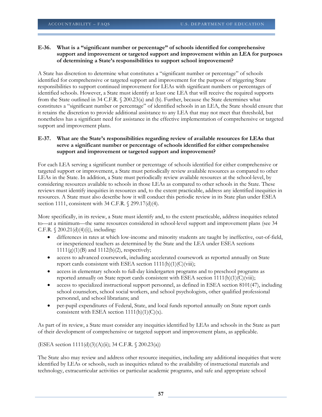#### **E-36. What is a "significant number or percentage" of schools identified for comprehensive support and improvement or targeted support and improvement within an LEA for purposes of determining a State's responsibilities to support school improvement?**

A State has discretion to determine what constitutes a "significant number or percentage" of schools identified for comprehensive or targeted support and improvement for the purpose of triggering State responsibilities to support continued improvement for LEAs with significant numbers or percentages of identified schools. However, a State must identify at least one LEA that will receive the required supports from the State outlined in 34 C.F.R. § 200.23(a) and (b). Further, because the State determines what constitutes a "significant number or percentage" of identified schools in an LEA, the State should ensure that it retains the discretion to provide additional assistance to any LEA that may not meet that threshold, but nonetheless has a significant need for assistance in the effective implementation of comprehensive or targeted support and improvement plans.

# **E-37. What are the State's responsibilities regarding review of available resources for LEAs that serve a significant number or percentage of schools identified for either comprehensive support and improvement or targeted support and improvement?**

For each LEA serving a significant number or percentage of schools identified for either comprehensive or targeted support or improvement, a State must periodically review available resources as compared to other LEAs in the State. In addition, a State must periodically review available resources at the school-level, by considering resources available to schools in those LEAs as compared to other schools in the State. These reviews must identify inequities in resources and, to the extent practicable, address any identified inequities in resources. A State must also describe how it will conduct this periodic review in its State plan under ESEA section 1111, consistent with 34 C.F.R. § 299.17(d)(4).

More specifically, in its review, a State must identify and, to the extent practicable, address inequities related to—at a minimum—the same resources considered in school-level support and improvement plans (see 34 C.F.R.  $\{200.21(d)(4)(i)\},$  including:

- differences in rates at which low-income and minority students are taught by ineffective, out-of-field, or inexperienced teachers as determined by the State and the LEA under ESEA sections  $1111(g)(1)(B)$  and  $1112(b)(2)$ , respectively;
- access to advanced coursework, including accelerated coursework as reported annually on State report cards consistent with ESEA section  $1111(h)(1)(C)(viii)$ ;
- access in elementary schools to full-day kindergarten programs and to preschool programs as reported annually on State report cards consistent with ESEA section 1111(h)(1)(C)(viii);
- access to specialized instructional support personnel, as defined in ESEA section 8101(47), including school counselors, school social workers, and school psychologists, other qualified professional personnel, and school librarians; and
- per-pupil expenditures of Federal, State, and local funds reported annually on State report cards consistent with ESEA section  $1111(h)(1)(C)(x)$ .

As part of its review, a State must consider any inequities identified by LEAs and schools in the State as part of their development of comprehensive or targeted support and improvement plans, as applicable.

(ESEA section 1111(d)(3)(A)(ii); 34 C.F.R. § 200.23(a))

The State also may review and address other resource inequities, including any additional inequities that were identified by LEAs or schools, such as inequities related to the availability of instructional materials and technology, extracurricular activities or particular academic programs, and safe and appropriate school